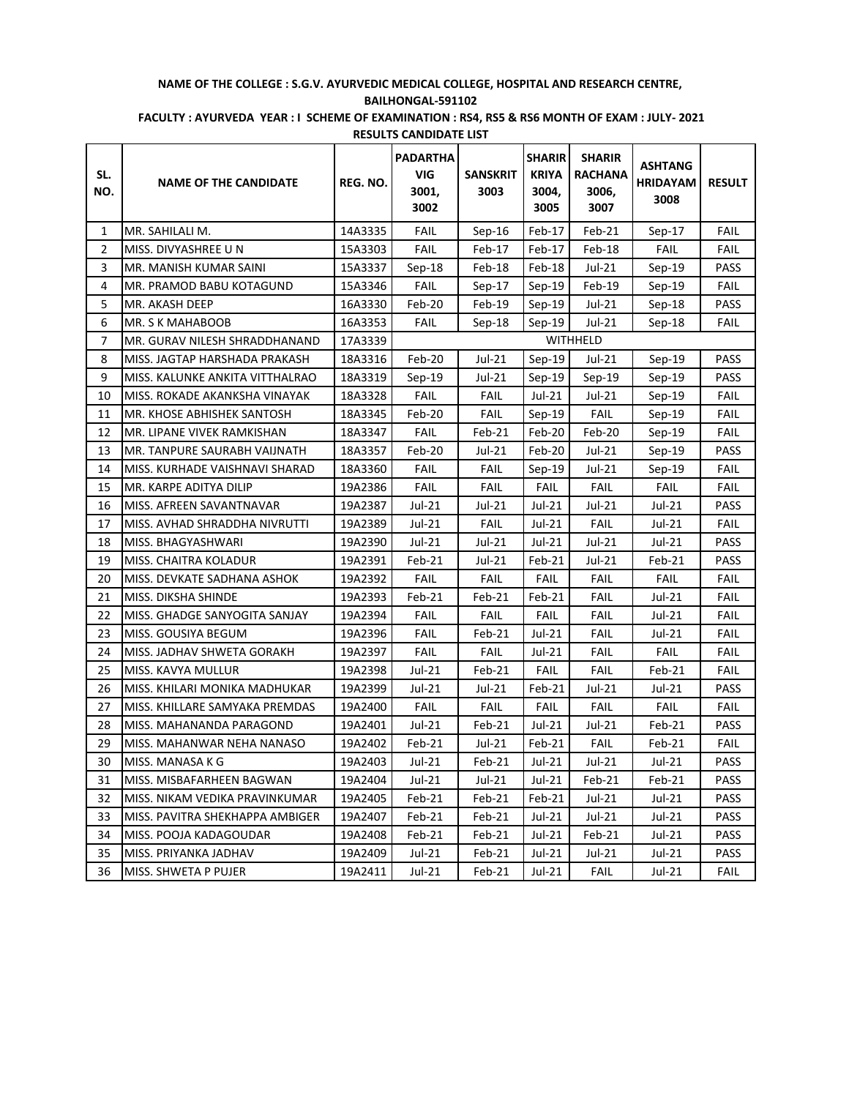#### **NAME OF THE COLLEGE : S.G.V. AYURVEDIC MEDICAL COLLEGE, HOSPITAL AND RESEARCH CENTRE, BAILHONGAL-591102 FACULTY : AYURVEDA YEAR : I SCHEME OF EXAMINATION : RS4, RS5 & RS6 MONTH OF EXAM : JULY- 2021**

|                | <b>RESULTS CANDIDATE LIST</b>   |          |                                                |                         |                                                |                                                  |                                           |               |  |  |
|----------------|---------------------------------|----------|------------------------------------------------|-------------------------|------------------------------------------------|--------------------------------------------------|-------------------------------------------|---------------|--|--|
| SL.<br>NO.     | <b>NAME OF THE CANDIDATE</b>    | REG. NO. | <b>PADARTHA</b><br><b>VIG</b><br>3001,<br>3002 | <b>SANSKRIT</b><br>3003 | <b>SHARIR</b><br><b>KRIYA</b><br>3004,<br>3005 | <b>SHARIR</b><br><b>RACHANA</b><br>3006,<br>3007 | <b>ASHTANG</b><br><b>HRIDAYAM</b><br>3008 | <b>RESULT</b> |  |  |
| $\mathbf{1}$   | MR. SAHILALI M.                 | 14A3335  | <b>FAIL</b>                                    | $Sep-16$                | Feb-17                                         | Feb-21                                           | $Sep-17$                                  | FAIL          |  |  |
| $\overline{2}$ | MISS. DIVYASHREE U N            | 15A3303  | FAIL                                           | $Feb-17$                | Feb-17                                         | Feb-18                                           | FAIL                                      | <b>FAIL</b>   |  |  |
| 3              | MR. MANISH KUMAR SAINI          | 15A3337  | $Sep-18$                                       | Feb-18                  | Feb-18                                         | $Jul-21$                                         | $Sep-19$                                  | PASS          |  |  |
| 4              | MR. PRAMOD BABU KOTAGUND        | 15A3346  | <b>FAIL</b>                                    | $Sep-17$                | $Sep-19$                                       | Feb-19                                           | $Sep-19$                                  | <b>FAIL</b>   |  |  |
| 5              | MR. AKASH DEEP                  | 16A3330  | Feb-20                                         | Feb-19                  | $Sep-19$                                       | $Jul-21$                                         | $Sep-18$                                  | PASS          |  |  |
| 6              | <b>MR. S K MAHABOOB</b>         | 16A3353  | <b>FAIL</b>                                    | Sep-18                  | $Sep-19$                                       | $Jul-21$                                         | $Sep-18$                                  | <b>FAIL</b>   |  |  |
| 7              | MR. GURAV NILESH SHRADDHANAND   | 17A3339  |                                                |                         |                                                | WITHHELD                                         |                                           |               |  |  |
| 8              | MISS. JAGTAP HARSHADA PRAKASH   | 18A3316  | Feb-20                                         | $Jul-21$                | $Sep-19$                                       | $Jul-21$                                         | $Sep-19$                                  | PASS          |  |  |
| 9              | MISS. KALUNKE ANKITA VITTHALRAO | 18A3319  | $Sep-19$                                       | Jul-21                  | $Sep-19$                                       | $Sep-19$                                         | $Sep-19$                                  | PASS          |  |  |
| 10             | MISS. ROKADE AKANKSHA VINAYAK   | 18A3328  | <b>FAIL</b>                                    | <b>FAIL</b>             | Jul-21                                         | $Jul-21$                                         | $Sep-19$                                  | <b>FAIL</b>   |  |  |
| 11             | MR. KHOSE ABHISHEK SANTOSH      | 18A3345  | Feb-20                                         | <b>FAIL</b>             | $Sep-19$                                       | <b>FAIL</b>                                      | $Sep-19$                                  | <b>FAIL</b>   |  |  |
| 12             | MR. LIPANE VIVEK RAMKISHAN      | 18A3347  | <b>FAIL</b>                                    | Feb-21                  | Feb-20                                         | Feb-20                                           | $Sep-19$                                  | <b>FAIL</b>   |  |  |
| 13             | MR. TANPURE SAURABH VAIJNATH    | 18A3357  | Feb-20                                         | Jul-21                  | Feb-20                                         | $Jul-21$                                         | $Sep-19$                                  | PASS          |  |  |
| 14             | MISS. KURHADE VAISHNAVI SHARAD  | 18A3360  | <b>FAIL</b>                                    | <b>FAIL</b>             | $Sep-19$                                       | Jul-21                                           | $Sep-19$                                  | FAIL          |  |  |
| 15             | MR. KARPE ADITYA DILIP          | 19A2386  | <b>FAIL</b>                                    | <b>FAIL</b>             | <b>FAIL</b>                                    | <b>FAIL</b>                                      | FAIL                                      | <b>FAIL</b>   |  |  |
| 16             | MISS. AFREEN SAVANTNAVAR        | 19A2387  | $Jul-21$                                       | Jul-21                  | $Jul-21$                                       | $Jul-21$                                         | Jul-21                                    | PASS          |  |  |
| 17             | MISS. AVHAD SHRADDHA NIVRUTTI   | 19A2389  | Jul-21                                         | <b>FAIL</b>             | $Jul-21$                                       | <b>FAIL</b>                                      | Jul-21                                    | <b>FAIL</b>   |  |  |
| 18             | MISS. BHAGYASHWARI              | 19A2390  | Jul-21                                         | Jul-21                  | Jul-21                                         | $Jul-21$                                         | Jul-21                                    | PASS          |  |  |
| 19             | MISS. CHAITRA KOLADUR           | 19A2391  | Feb-21                                         | Jul-21                  | Feb-21                                         | Jul-21                                           | Feb-21                                    | PASS          |  |  |
| 20             | MISS. DEVKATE SADHANA ASHOK     | 19A2392  | <b>FAIL</b>                                    | <b>FAIL</b>             | FAIL                                           | <b>FAIL</b>                                      | FAIL                                      | <b>FAIL</b>   |  |  |
| 21             | MISS. DIKSHA SHINDE             | 19A2393  | Feb-21                                         | Feb-21                  | Feb-21                                         | FAIL                                             | Jul-21                                    | <b>FAIL</b>   |  |  |
| 22             | MISS. GHADGE SANYOGITA SANJAY   | 19A2394  | <b>FAIL</b>                                    | FAIL                    | <b>FAIL</b>                                    | <b>FAIL</b>                                      | Jul-21                                    | <b>FAIL</b>   |  |  |
| 23             | MISS. GOUSIYA BEGUM             | 19A2396  | <b>FAIL</b>                                    | Feb-21                  | $Jul-21$                                       | <b>FAIL</b>                                      | $Jul-21$                                  | <b>FAIL</b>   |  |  |
| 24             | MISS. JADHAV SHWETA GORAKH      | 19A2397  | <b>FAIL</b>                                    | <b>FAIL</b>             | Jul-21                                         | FAIL                                             | <b>FAIL</b>                               | FAIL          |  |  |
| 25             | MISS. KAVYA MULLUR              | 19A2398  | Jul-21                                         | Feb-21                  | <b>FAIL</b>                                    | <b>FAIL</b>                                      | Feb-21                                    | <b>FAIL</b>   |  |  |
| 26             | MISS. KHILARI MONIKA MADHUKAR   | 19A2399  | Jul-21                                         | $Jul-21$                | Feb-21                                         | Jul-21                                           | Jul-21                                    | PASS          |  |  |
| 27             | MISS. KHILLARE SAMYAKA PREMDAS  | 19A2400  | <b>FAIL</b>                                    | <b>FAIL</b>             | <b>FAIL</b>                                    | <b>FAIL</b>                                      | FAIL                                      | <b>FAIL</b>   |  |  |
| 28             | MISS. MAHANANDA PARAGOND        | 19A2401  | $Jul-21$                                       | Feb-21                  | $Jul-21$                                       | $Jul-21$                                         | Feb-21                                    | PASS          |  |  |
| 29             | MISS. MAHANWAR NEHA NANASO      | 19A2402  | Feb-21                                         | $Jul-21$                | Feb-21                                         | <b>FAIL</b>                                      | Feb-21                                    | FAIL          |  |  |
| 30             | MISS. MANASA K G                | 19A2403  | Jul-21                                         | Feb-21                  | Jul-21                                         | Jul-21                                           | Jul-21                                    | PASS          |  |  |
| 31             | MISS. MISBAFARHEEN BAGWAN       | 19A2404  | Jul-21                                         | Jul-21                  | Jul-21                                         | Feb-21                                           | Feb-21                                    | PASS          |  |  |
| 32             | MISS. NIKAM VEDIKA PRAVINKUMAR  | 19A2405  | Feb-21                                         | Feb-21                  | Feb-21                                         | Jul-21                                           | Jul-21                                    | PASS          |  |  |
| 33             | MISS. PAVITRA SHEKHAPPA AMBIGER | 19A2407  | Feb-21                                         | Feb-21                  | Jul-21                                         | Jul-21                                           | Jul-21                                    | PASS          |  |  |
| 34             | MISS. POOJA KADAGOUDAR          | 19A2408  | Feb-21                                         | Feb-21                  | Jul-21                                         | Feb-21                                           | Jul-21                                    | PASS          |  |  |
| 35             | MISS. PRIYANKA JADHAV           | 19A2409  | Jul-21                                         | Feb-21                  | Jul-21                                         | $Jul-21$                                         | $Jul-21$                                  | PASS          |  |  |
| 36             | MISS. SHWETA P PUJER            | 19A2411  | Jul-21                                         | Feb-21                  | Jul-21                                         | <b>FAIL</b>                                      | Jul-21                                    | <b>FAIL</b>   |  |  |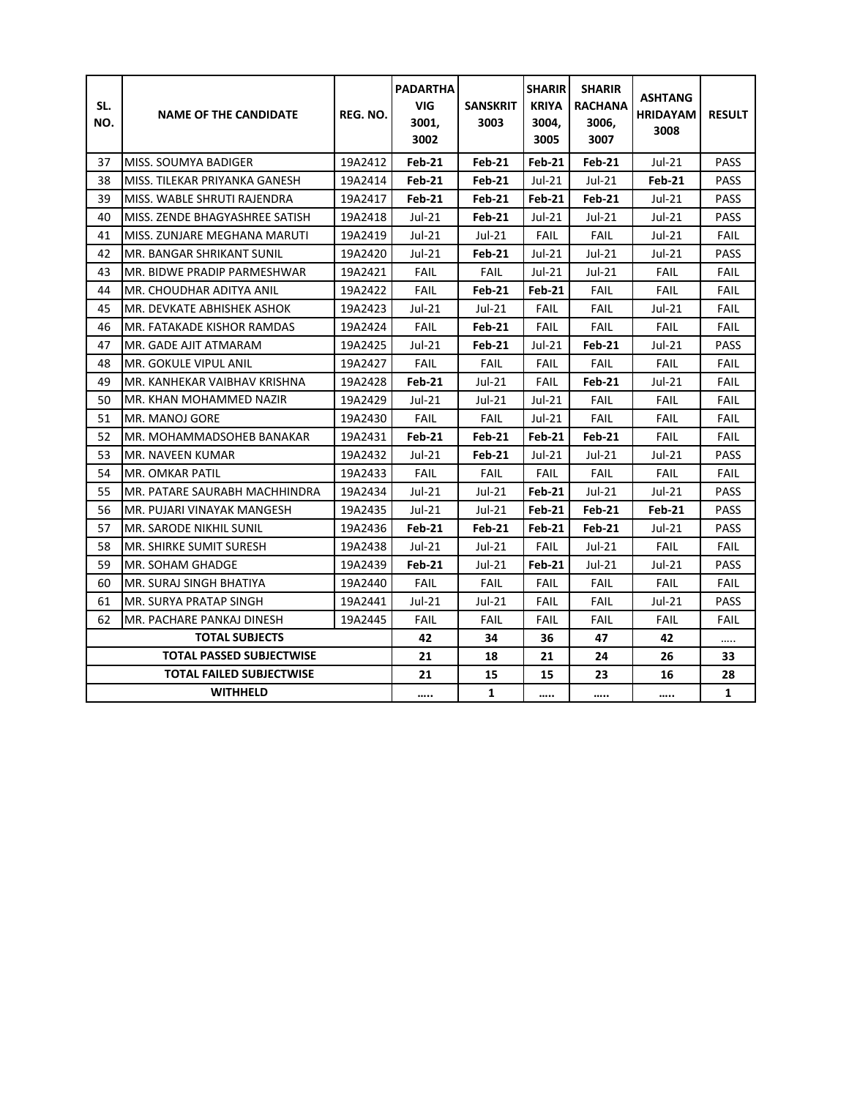| SL.<br>NO. | <b>NAME OF THE CANDIDATE</b>     | REG. NO. | <b>PADARTHA</b><br><b>VIG</b><br>3001,<br>3002 | <b>SANSKRIT</b><br>3003 | <b>SHARIR</b><br><b>KRIYA</b><br>3004,<br>3005 | <b>SHARIR</b><br><b>RACHANA</b><br>3006,<br>3007 | <b>ASHTANG</b><br><b>HRIDAYAM</b><br>3008 | <b>RESULT</b> |
|------------|----------------------------------|----------|------------------------------------------------|-------------------------|------------------------------------------------|--------------------------------------------------|-------------------------------------------|---------------|
| 37         | <b>MISS. SOUMYA BADIGER</b>      | 19A2412  | Feb-21                                         | Feb-21                  | <b>Feb-21</b>                                  | <b>Feb-21</b>                                    | $Jul-21$                                  | <b>PASS</b>   |
| 38         | MISS. TILEKAR PRIYANKA GANESH    | 19A2414  | Feb-21                                         | $Feb-21$                | $Jul-21$                                       | $Jul-21$                                         | Feb-21                                    | <b>PASS</b>   |
| 39         | MISS. WABLE SHRUTI RAJENDRA      | 19A2417  | <b>Feb-21</b>                                  | Feb-21                  | <b>Feb-21</b>                                  | <b>Feb-21</b>                                    | Jul-21                                    | PASS          |
| 40         | MISS. ZENDE BHAGYASHREE SATISH   | 19A2418  | $Jul-21$                                       | $Feb-21$                | $Jul-21$                                       | $Jul-21$                                         | Jul-21                                    | <b>PASS</b>   |
| 41         | MISS. ZUNJARE MEGHANA MARUTI     | 19A2419  | $Jul-21$                                       | Jul-21                  | <b>FAIL</b>                                    | <b>FAIL</b>                                      | Jul-21                                    | FAIL          |
| 42         | <b>MR. BANGAR SHRIKANT SUNIL</b> | 19A2420  | $Jul-21$                                       | <b>Feb-21</b>           | $Jul-21$                                       | $Jul-21$                                         | $Jul-21$                                  | PASS          |
| 43         | MR. BIDWE PRADIP PARMESHWAR      | 19A2421  | <b>FAIL</b>                                    | <b>FAIL</b>             | $Jul-21$                                       | $Jul-21$                                         | <b>FAIL</b>                               | FAIL          |
| 44         | MR. CHOUDHAR ADITYA ANIL         | 19A2422  | <b>FAIL</b>                                    | <b>Feb-21</b>           | <b>Feb-21</b>                                  | <b>FAIL</b>                                      | FAIL                                      | FAIL          |
| 45         | MR. DEVKATE ABHISHEK ASHOK       | 19A2423  | Jul-21                                         | Jul-21                  | <b>FAIL</b>                                    | FAIL                                             | Jul-21                                    | FAIL          |
| 46         | MR. FATAKADE KISHOR RAMDAS       | 19A2424  | <b>FAIL</b>                                    | Feb-21                  | <b>FAIL</b>                                    | FAIL                                             | FAIL                                      | FAIL          |
| 47         | MR. GADE AJIT ATMARAM            | 19A2425  | Jul-21                                         | Feb-21                  | Jul-21                                         | <b>Feb-21</b>                                    | Jul-21                                    | <b>PASS</b>   |
| 48         | MR. GOKULE VIPUL ANIL            | 19A2427  | <b>FAIL</b>                                    | <b>FAIL</b>             | <b>FAIL</b>                                    | <b>FAIL</b>                                      | <b>FAIL</b>                               | FAIL          |
| 49         | MR. KANHEKAR VAIBHAV KRISHNA     | 19A2428  | <b>Feb-21</b>                                  | Jul-21                  | FAIL                                           | $Feb-21$                                         | Jul-21                                    | FAIL          |
| 50         | MR. KHAN MOHAMMED NAZIR          | 19A2429  | Jul-21                                         | Jul-21                  | $Jul-21$                                       | <b>FAIL</b>                                      | <b>FAIL</b>                               | FAIL          |
| 51         | <b>MR. MANOJ GORE</b>            | 19A2430  | <b>FAIL</b>                                    | <b>FAIL</b>             | $Jul-21$                                       | <b>FAIL</b>                                      | <b>FAIL</b>                               | <b>FAIL</b>   |
| 52         | MR. MOHAMMADSOHEB BANAKAR        | 19A2431  | <b>Feb-21</b>                                  | Feb-21                  | <b>Feb-21</b>                                  | <b>Feb-21</b>                                    | FAIL                                      | FAIL          |
| 53         | MR. NAVEEN KUMAR                 | 19A2432  | $Jul-21$                                       | <b>Feb-21</b>           | $Jul-21$                                       | $Jul-21$                                         | $Jul-21$                                  | <b>PASS</b>   |
| 54         | <b>MR. OMKAR PATIL</b>           | 19A2433  | <b>FAIL</b>                                    | <b>FAIL</b>             | <b>FAIL</b>                                    | <b>FAIL</b>                                      | <b>FAIL</b>                               | FAIL          |
| 55         | MR. PATARE SAURABH MACHHINDRA    | 19A2434  | Jul-21                                         | Jul-21                  | <b>Feb-21</b>                                  | $Jul-21$                                         | Jul-21                                    | PASS          |
| 56         | MR. PUJARI VINAYAK MANGESH       | 19A2435  | Jul-21                                         | Jul-21                  | Feb-21                                         | Feb-21                                           | <b>Feb-21</b>                             | <b>PASS</b>   |
| 57         | MR. SARODE NIKHIL SUNIL          | 19A2436  | <b>Feb-21</b>                                  | <b>Feb-21</b>           | <b>Feb-21</b>                                  | <b>Feb-21</b>                                    | Jul-21                                    | <b>PASS</b>   |
| 58         | MR. SHIRKE SUMIT SURESH          | 19A2438  | $Jul-21$                                       | Jul-21                  | <b>FAIL</b>                                    | $Jul-21$                                         | FAIL                                      | FAIL          |
| 59         | MR. SOHAM GHADGE                 | 19A2439  | <b>Feb-21</b>                                  | $Jul-21$                | <b>Feb-21</b>                                  | $Jul-21$                                         | Jul-21                                    | <b>PASS</b>   |
| 60         | MR. SURAJ SINGH BHATIYA          | 19A2440  | <b>FAIL</b>                                    | <b>FAIL</b>             | FAIL                                           | <b>FAIL</b>                                      | <b>FAIL</b>                               | <b>FAIL</b>   |
| 61         | MR. SURYA PRATAP SINGH           | 19A2441  | Jul-21                                         | Jul-21                  | <b>FAIL</b>                                    | FAIL                                             | Jul-21                                    | PASS          |
| 62         | MR. PACHARE PANKAJ DINESH        | 19A2445  | <b>FAIL</b>                                    | <b>FAIL</b>             | <b>FAIL</b>                                    | <b>FAIL</b>                                      | <b>FAIL</b>                               | <b>FAIL</b>   |
|            | <b>TOTAL SUBJECTS</b>            |          |                                                | 34                      | 36                                             | 47                                               | 42                                        |               |
|            | <b>TOTAL PASSED SUBJECTWISE</b>  |          |                                                | 18                      | 21                                             | 24                                               | 26                                        | 33            |
|            | <b>TOTAL FAILED SUBJECTWISE</b>  |          |                                                | 15                      | 15                                             | 23                                               | 16                                        | 28            |
|            | <b>WITHHELD</b>                  |          |                                                | $\mathbf{1}$            |                                                |                                                  |                                           | $\mathbf{1}$  |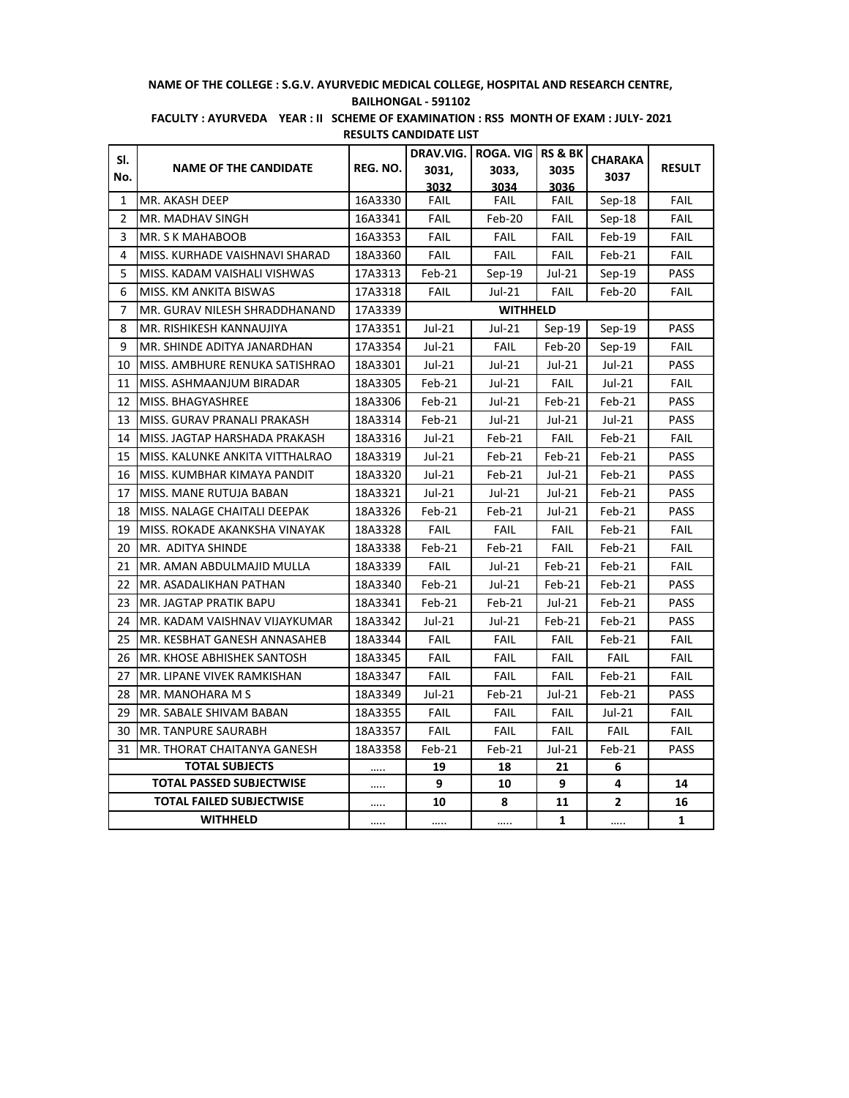#### **NAME OF THE COLLEGE : S.G.V. AYURVEDIC MEDICAL COLLEGE, HOSPITAL AND RESEARCH CENTRE, BAILHONGAL - 591102**

#### **FACULTY : AYURVEDA YEAR : II SCHEME OF EXAMINATION : RS5 MONTH OF EXAM : JULY- 2021 RESULTS CANDIDATE LIST**

|                |                                 |          | NESULI S CANDIDATE LIST | DRAV.VIG.   ROGA. VIG   RS & BK |              |                |               |
|----------------|---------------------------------|----------|-------------------------|---------------------------------|--------------|----------------|---------------|
| SI.            | <b>NAME OF THE CANDIDATE</b>    | REG. NO. | 3031.                   | 3033.                           | 3035         | <b>CHARAKA</b> | <b>RESULT</b> |
| No.            |                                 |          | 3032                    | 3034                            | 3036         | 3037           |               |
| $\mathbf{1}$   | MR. AKASH DEEP                  | 16A3330  | <b>FAIL</b>             | <b>FAIL</b>                     | <b>FAIL</b>  | $Sep-18$       | <b>FAIL</b>   |
| $\overline{2}$ | MR. MADHAV SINGH                | 16A3341  | <b>FAIL</b>             | Feb-20                          | <b>FAIL</b>  | $Sep-18$       | <b>FAIL</b>   |
| 3              | MR. S K MAHABOOB                | 16A3353  | <b>FAIL</b>             | <b>FAIL</b>                     | <b>FAIL</b>  | Feb-19         | FAIL          |
| 4              | MISS. KURHADE VAISHNAVI SHARAD  | 18A3360  | <b>FAIL</b>             | <b>FAIL</b>                     | <b>FAIL</b>  | $Feb-21$       | <b>FAIL</b>   |
| 5              | MISS. KADAM VAISHALI VISHWAS    | 17A3313  | Feb-21                  | $Sep-19$                        | Jul-21       | $Sep-19$       | PASS          |
| 6              | MISS. KM ANKITA BISWAS          | 17A3318  | <b>FAIL</b>             | Jul-21                          | <b>FAIL</b>  | Feb-20         | FAIL          |
| 7              | MR. GURAV NILESH SHRADDHANAND   | 17A3339  |                         | <b>WITHHELD</b>                 |              |                |               |
| 8              | MR. RISHIKESH KANNAUJIYA        | 17A3351  | Jul-21                  | Jul-21                          | $Sep-19$     | $Sep-19$       | PASS          |
| 9              | MR. SHINDE ADITYA JANARDHAN     | 17A3354  | Jul-21                  | <b>FAIL</b>                     | Feb-20       | $Sep-19$       | FAIL          |
| 10             | MISS. AMBHURE RENUKA SATISHRAO  | 18A3301  | Jul-21                  | Jul-21                          | Jul-21       | Jul-21         | PASS          |
| 11             | MISS. ASHMAANJUM BIRADAR        | 18A3305  | Feb-21                  | Jul-21                          | <b>FAIL</b>  | Jul-21         | <b>FAIL</b>   |
| 12             | IMISS. BHAGYASHREE              | 18A3306  | $Feb-21$                | Jul-21                          | Feb-21       | $Feb-21$       | PASS          |
| 13             | MISS. GURAV PRANALI PRAKASH     | 18A3314  | Feb-21                  | Jul-21                          | Jul-21       | Jul-21         | PASS          |
| 14             | MISS. JAGTAP HARSHADA PRAKASH   | 18A3316  | Jul-21                  | Feb-21                          | <b>FAIL</b>  | Feb-21         | <b>FAIL</b>   |
| 15             | MISS. KALUNKE ANKITA VITTHALRAO | 18A3319  | Jul-21                  | $Feb-21$                        | Feb-21       | $Feb-21$       | PASS          |
| 16             | MISS. KUMBHAR KIMAYA PANDIT     | 18A3320  | $Jul-21$                | Feb-21                          | Jul-21       | Feb-21         | PASS          |
| 17             | MISS. MANE RUTUJA BABAN         | 18A3321  | $Jul-21$                | Jul-21                          | $Jul-21$     | $Feb-21$       | PASS          |
| 18             | MISS. NALAGE CHAITALI DEEPAK    | 18A3326  | $Feb-21$                | $Feb-21$                        | $Jul-21$     | $Feb-21$       | PASS          |
| 19             | MISS. ROKADE AKANKSHA VINAYAK   | 18A3328  | FAIL                    | <b>FAIL</b>                     | <b>FAIL</b>  | Feb-21         | <b>FAIL</b>   |
| 20             | MR. ADITYA SHINDE               | 18A3338  | $Feb-21$                | $Feb-21$                        | <b>FAIL</b>  | $Feb-21$       | <b>FAIL</b>   |
| 21             | MR. AMAN ABDULMAJID MULLA       | 18A3339  | <b>FAIL</b>             | Jul-21                          | Feb-21       | Feb-21         | FAIL          |
| 22             | MR. ASADALIKHAN PATHAN          | 18A3340  | Feb-21                  | Jul-21                          | Feb-21       | Feb-21         | PASS          |
| 23             | IMR. JAGTAP PRATIK BAPU         | 18A3341  | $Feb-21$                | $Feb-21$                        | $Jul-21$     | $Feb-21$       | PASS          |
| 24             | MR. KADAM VAISHNAV VIJAYKUMAR   | 18A3342  | Jul-21                  | Jul-21                          | $Feb-21$     | $Feb-21$       | PASS          |
| 25             | MR. KESBHAT GANESH ANNASAHEB    | 18A3344  | <b>FAIL</b>             | <b>FAIL</b>                     | <b>FAIL</b>  | Feb-21         | <b>FAIL</b>   |
| 26             | MR. KHOSE ABHISHEK SANTOSH      | 18A3345  | <b>FAIL</b>             | <b>FAIL</b>                     | <b>FAIL</b>  | <b>FAIL</b>    | <b>FAIL</b>   |
| 27             | MR. LIPANE VIVEK RAMKISHAN      | 18A3347  | <b>FAIL</b>             | <b>FAIL</b>                     | <b>FAIL</b>  | Feb-21         | <b>FAIL</b>   |
| 28             | MR. MANOHARA M S                | 18A3349  | Jul-21                  | Feb-21                          | Jul-21       | Feb-21         | PASS          |
| 29             | MR. SABALE SHIVAM BABAN         | 18A3355  | <b>FAIL</b>             | <b>FAIL</b>                     | <b>FAIL</b>  | Jul-21         | <b>FAIL</b>   |
| 30             | MR. TANPURE SAURABH             | 18A3357  | <b>FAIL</b>             | FAIL                            | FAIL         | <b>FAIL</b>    | <b>FAIL</b>   |
| 31             | MR. THORAT CHAITANYA GANESH     | 18A3358  | $Feb-21$                | $Feb-21$                        | Jul-21       | $Feb-21$       | PASS          |
|                | <b>TOTAL SUBJECTS</b>           |          | 19                      | 18                              | 21           | 6              |               |
|                | <b>TOTAL PASSED SUBJECTWISE</b> |          | 9                       | 10                              | 9            | 4              | 14            |
|                | <b>TOTAL FAILED SUBJECTWISE</b> |          | 10                      | 8                               | 11           | $\mathbf{2}$   | 16            |
|                | <b>WITHHELD</b>                 |          |                         |                                 | $\mathbf{1}$ |                | $\mathbf{1}$  |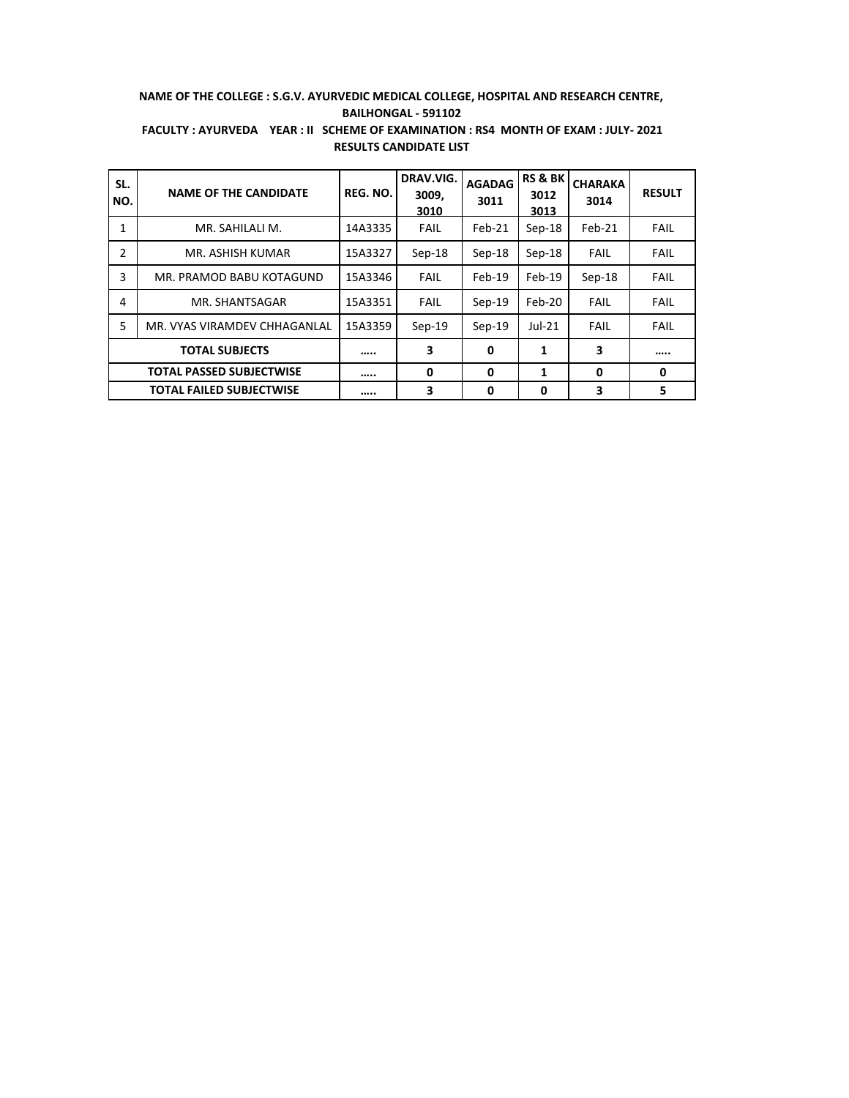#### **NAME OF THE COLLEGE : S.G.V. AYURVEDIC MEDICAL COLLEGE, HOSPITAL AND RESEARCH CENTRE, BAILHONGAL - 591102 FACULTY : AYURVEDA YEAR : II SCHEME OF EXAMINATION : RS4 MONTH OF EXAM : JULY- 2021 RESULTS CANDIDATE LIST**

| SL.<br>NO.     | <b>NAME OF THE CANDIDATE</b>    | REG. NO. | DRAV.VIG.<br>3009,<br>3010 | <b>AGADAG</b><br>3011 | <b>RS &amp; BK</b><br>3012<br>3013 | <b>CHARAKA</b><br>3014 | <b>RESULT</b> |
|----------------|---------------------------------|----------|----------------------------|-----------------------|------------------------------------|------------------------|---------------|
| 1              | MR. SAHILALI M.                 | 14A3335  | <b>FAIL</b>                | Feb-21                | Sep-18                             | Feb-21                 | <b>FAIL</b>   |
| $\overline{2}$ | MR. ASHISH KUMAR                | 15A3327  | $Sep-18$                   | $Sep-18$              | $Sep-18$                           | <b>FAIL</b>            | <b>FAIL</b>   |
| 3              | MR. PRAMOD BABU KOTAGUND        | 15A3346  | FAIL                       | Feb-19                | $Feb-19$                           | $Sep-18$               | <b>FAIL</b>   |
| 4              | MR. SHANTSAGAR                  | 15A3351  | FAIL                       | $Sep-19$              | Feb-20                             | FAIL                   | <b>FAIL</b>   |
| 5              | MR. VYAS VIRAMDEV CHHAGANLAL    | 15A3359  | $Sep-19$                   | $Sep-19$              | $Jul-21$                           | FAIL                   | <b>FAIL</b>   |
|                | <b>TOTAL SUBJECTS</b>           |          | 3                          | 0                     | 1                                  | 3                      |               |
|                | <b>TOTAL PASSED SUBJECTWISE</b> |          | 0                          | 0                     | 1                                  | $\mathbf 0$            | 0             |
|                | <b>TOTAL FAILED SUBJECTWISE</b> |          | 3                          | 0                     | 0                                  | 3                      | 5             |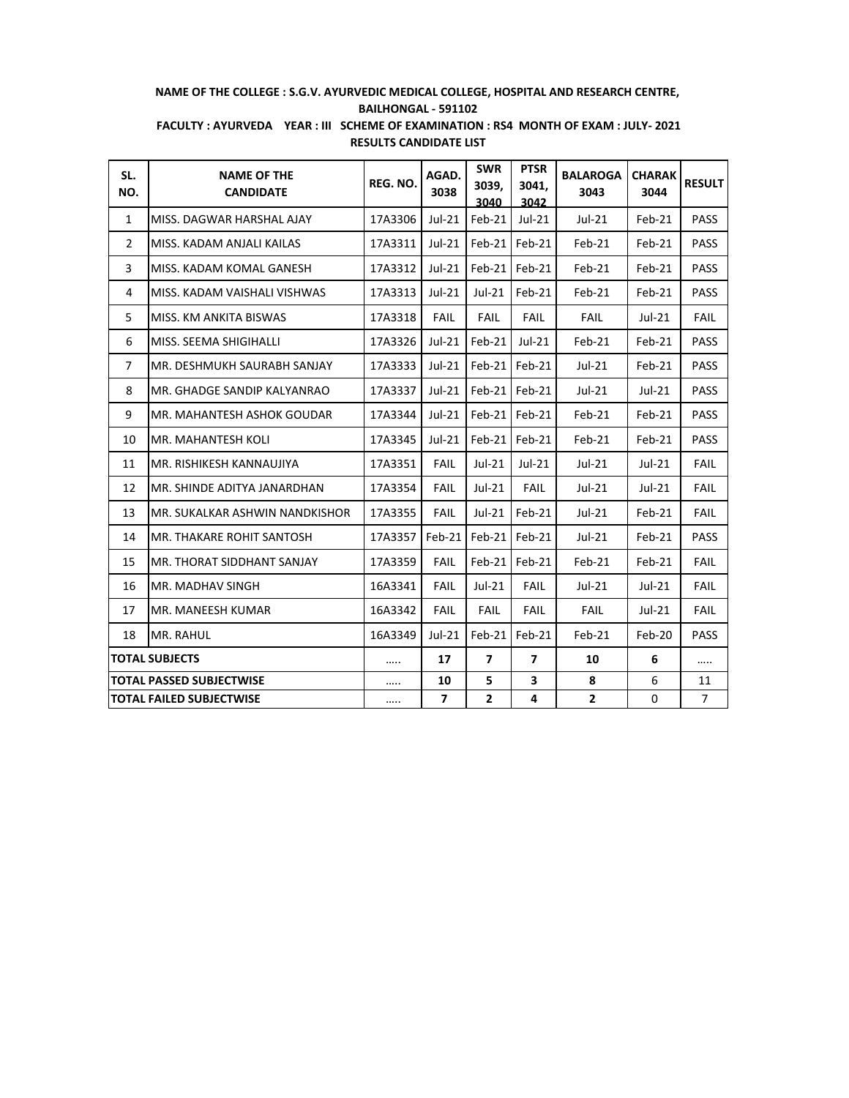#### **NAME OF THE COLLEGE : S.G.V. AYURVEDIC MEDICAL COLLEGE, HOSPITAL AND RESEARCH CENTRE, BAILHONGAL - 591102 FACULTY : AYURVEDA YEAR : III SCHEME OF EXAMINATION : RS4 MONTH OF EXAM : JULY- 2021 RESULTS CANDIDATE LIST**

| SL.<br>NO.     | <b>NAME OF THE</b><br><b>CANDIDATE</b> | REG. NO. | AGAD.<br>3038  | <b>SWR</b><br>3039,<br>3040                 | <b>PTSR</b><br>3041,<br>3042 | <b>BALAROGA</b><br>3043 | <b>CHARAK</b><br>3044 | <b>RESULT</b> |
|----------------|----------------------------------------|----------|----------------|---------------------------------------------|------------------------------|-------------------------|-----------------------|---------------|
| $\mathbf{1}$   | MISS. DAGWAR HARSHAL AJAY              | 17A3306  | $Jul-21$       | Feb-21                                      | Jul-21                       | $Jul-21$                | $Feb-21$              | <b>PASS</b>   |
| 2              | MISS. KADAM ANJALI KAILAS              | 17A3311  | $Jul-21$       | Feb-21                                      | Feb-21                       | Feb-21                  | Feb-21                | <b>PASS</b>   |
| 3              | MISS. KADAM KOMAL GANESH               | 17A3312  | $Jul-21$       | Feb-21                                      | Feb-21                       | $Feb-21$                | Feb-21                | <b>PASS</b>   |
| 4              | MISS. KADAM VAISHALI VISHWAS           | 17A3313  | $Jul-21$       | $Jul-21$                                    | $Feb-21$                     | $Feb-21$                | $Feb-21$              | <b>PASS</b>   |
| 5              | MISS. KM ANKITA BISWAS                 | 17A3318  | <b>FAIL</b>    | <b>FAIL</b>                                 | <b>FAIL</b>                  | <b>FAIL</b>             | $Jul-21$              | <b>FAIL</b>   |
| 6              | MISS. SEEMA SHIGIHALLI                 | 17A3326  | Jul-21         | Feb-21                                      | $Jul-21$                     | $Feb-21$                | $Feb-21$              | <b>PASS</b>   |
| $\overline{7}$ | MR. DESHMUKH SAURABH SANJAY            | 17A3333  | $Jul-21$       | Feb-21                                      | Feb-21                       | $Jul-21$                | $Feb-21$              | <b>PASS</b>   |
| 8              | MR. GHADGE SANDIP KALYANRAO            | 17A3337  | $Jul-21$       | Feb-21                                      | $Feb-21$                     | $Jul-21$                | $Jul-21$              | <b>PASS</b>   |
| 9              | MR. MAHANTESH ASHOK GOUDAR             | 17A3344  | $Jul-21$       | Feb-21                                      | Feb-21                       | $Feb-21$                | $Feb-21$              | <b>PASS</b>   |
| 10             | MR. MAHANTESH KOLI                     | 17A3345  | $Jul-21$       | Feb-21                                      | $Feb-21$                     | Feb-21                  | $Feb-21$              | <b>PASS</b>   |
| 11             | MR. RISHIKESH KANNAUJIYA               | 17A3351  | <b>FAIL</b>    | $Jul-21$                                    | $Jul-21$                     | Jul-21                  | $Jul-21$              | <b>FAIL</b>   |
| 12             | MR. SHINDE ADITYA JANARDHAN            | 17A3354  | <b>FAIL</b>    | $Jul-21$                                    | <b>FAIL</b>                  | Jul-21                  | Jul-21                | <b>FAIL</b>   |
| 13             | MR. SUKALKAR ASHWIN NANDKISHOR         | 17A3355  | <b>FAIL</b>    | $Jul-21$                                    | $Feb-21$                     | $Jul-21$                | $Feb-21$              | FAIL          |
| 14             | MR. THAKARE ROHIT SANTOSH              | 17A3357  | $Feb-21$       | Feb-21                                      | Feb-21                       | Jul-21                  | Feb-21                | <b>PASS</b>   |
| 15             | MR. THORAT SIDDHANT SANJAY             | 17A3359  | <b>FAIL</b>    | $Feb-21$                                    | Feb-21                       | $Feb-21$                | $Feb-21$              | <b>FAIL</b>   |
| 16             | MR. MADHAV SINGH                       | 16A3341  | <b>FAIL</b>    | $Jul-21$                                    | <b>FAIL</b>                  | Jul-21                  | $Jul-21$              | <b>FAIL</b>   |
| 17             | MR. MANEESH KUMAR                      | 16A3342  | <b>FAIL</b>    | <b>FAIL</b>                                 | <b>FAIL</b>                  | <b>FAIL</b>             | Jul-21                | FAIL          |
| 18             | MR. RAHUL                              | 16A3349  | Jul-21         | $Feb-21$                                    | Feb-21                       | $Feb-21$                | Feb-20                | PASS          |
|                | <b>TOTAL SUBJECTS</b>                  |          | 17             | $\overline{ }$<br>$\overline{7}$<br>10<br>6 |                              |                         |                       |               |
|                | <b>TOTAL PASSED SUBJECTWISE</b>        |          | 10             | 5                                           | 3                            | 8                       | 6                     | 11            |
|                | <b>TOTAL FAILED SUBJECTWISE</b>        |          | $\overline{ }$ | $\overline{2}$                              | 4                            | $\overline{2}$          | 0                     | 7             |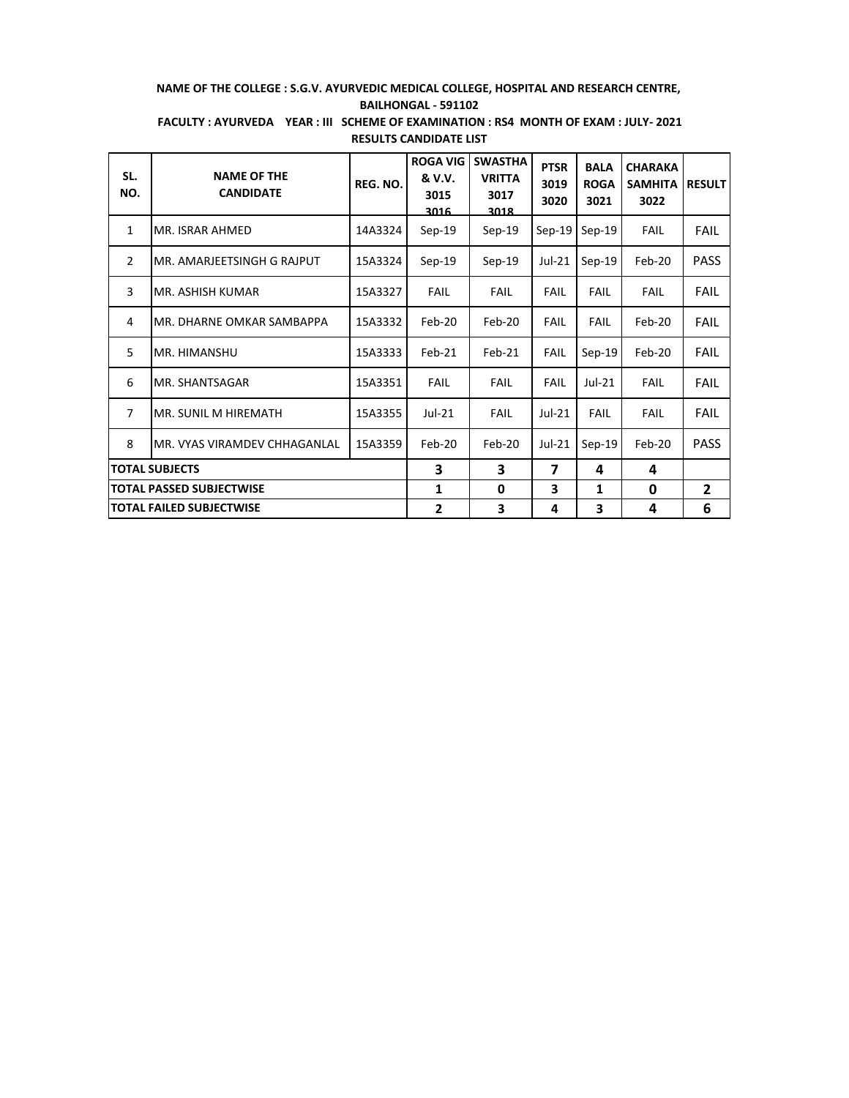#### **NAME OF THE COLLEGE : S.G.V. AYURVEDIC MEDICAL COLLEGE, HOSPITAL AND RESEARCH CENTRE, BAILHONGAL - 591102 FACULTY : AYURVEDA YEAR : III SCHEME OF EXAMINATION : RS4 MONTH OF EXAM : JULY- 2021**

**RESULTS CANDIDATE LIST**

| SL.<br>NO.                      | <b>NAME OF THE</b><br><b>CANDIDATE</b> | REG. NO.     | <b>ROGA VIG</b><br>& V.V.<br>3015<br>3016 | <b>SWASTHA</b><br><b>VRITTA</b><br>3017<br>3018 | <b>PTSR</b><br>3019<br>3020 | <b>BALA</b><br><b>ROGA</b><br>3021 | <b>CHARAKA</b><br><b>SAMHITA</b><br>3022 | <b>RESULT</b>  |
|---------------------------------|----------------------------------------|--------------|-------------------------------------------|-------------------------------------------------|-----------------------------|------------------------------------|------------------------------------------|----------------|
| $\mathbf{1}$                    | MR. ISRAR AHMED                        | 14A3324      | $Sep-19$                                  | $Sep-19$                                        | $Sep-19$                    | $Sep-19$                           | <b>FAIL</b>                              | <b>FAIL</b>    |
| $\mathcal{P}$                   | MR. AMARJEETSINGH G RAJPUT             | 15A3324      | $Sep-19$                                  | $Sep-19$                                        | Jul-21                      | $Sep-19$                           | Feb-20                                   | <b>PASS</b>    |
| 3                               | MR. ASHISH KUMAR                       | 15A3327      | <b>FAIL</b>                               | <b>FAIL</b>                                     | FAIL                        | <b>FAIL</b>                        | <b>FAIL</b>                              | <b>FAIL</b>    |
| 4                               | MR. DHARNE OMKAR SAMBAPPA              | 15A3332      | Feb-20                                    | $Feb-20$                                        | FAIL                        | <b>FAIL</b>                        | Feb-20                                   | <b>FAIL</b>    |
| 5                               | MR. HIMANSHU                           | 15A3333      | $Feb-21$                                  | $Feb-21$                                        | <b>FAIL</b>                 | $Sep-19$                           | Feb-20                                   | <b>FAIL</b>    |
| 6                               | MR. SHANTSAGAR                         | 15A3351      | FAIL                                      | FAIL                                            | FAIL                        | $Jul-21$                           | <b>FAIL</b>                              | <b>FAIL</b>    |
| $\overline{7}$                  | MR. SUNIL M HIREMATH                   | 15A3355      | Jul-21                                    | <b>FAIL</b>                                     | $Jul-21$                    | <b>FAIL</b>                        | <b>FAIL</b>                              | <b>FAIL</b>    |
| 8                               | MR. VYAS VIRAMDEV CHHAGANLAL           | 15A3359      | $Feb-20$                                  | $Feb-20$                                        | Jul-21                      | $Sep-19$                           | Feb-20                                   | <b>PASS</b>    |
|                                 | <b>TOTAL SUBJECTS</b>                  | 3            | 3                                         | $\overline{\mathbf{z}}$                         | 4                           | 4                                  |                                          |                |
| <b>TOTAL PASSED SUBJECTWISE</b> |                                        |              | 1                                         | 0                                               | 3                           | 1                                  | 0                                        | $\overline{2}$ |
|                                 | <b>TOTAL FAILED SUBJECTWISE</b>        | $\mathbf{2}$ | 3                                         | 4                                               | 3                           | 4                                  | 6                                        |                |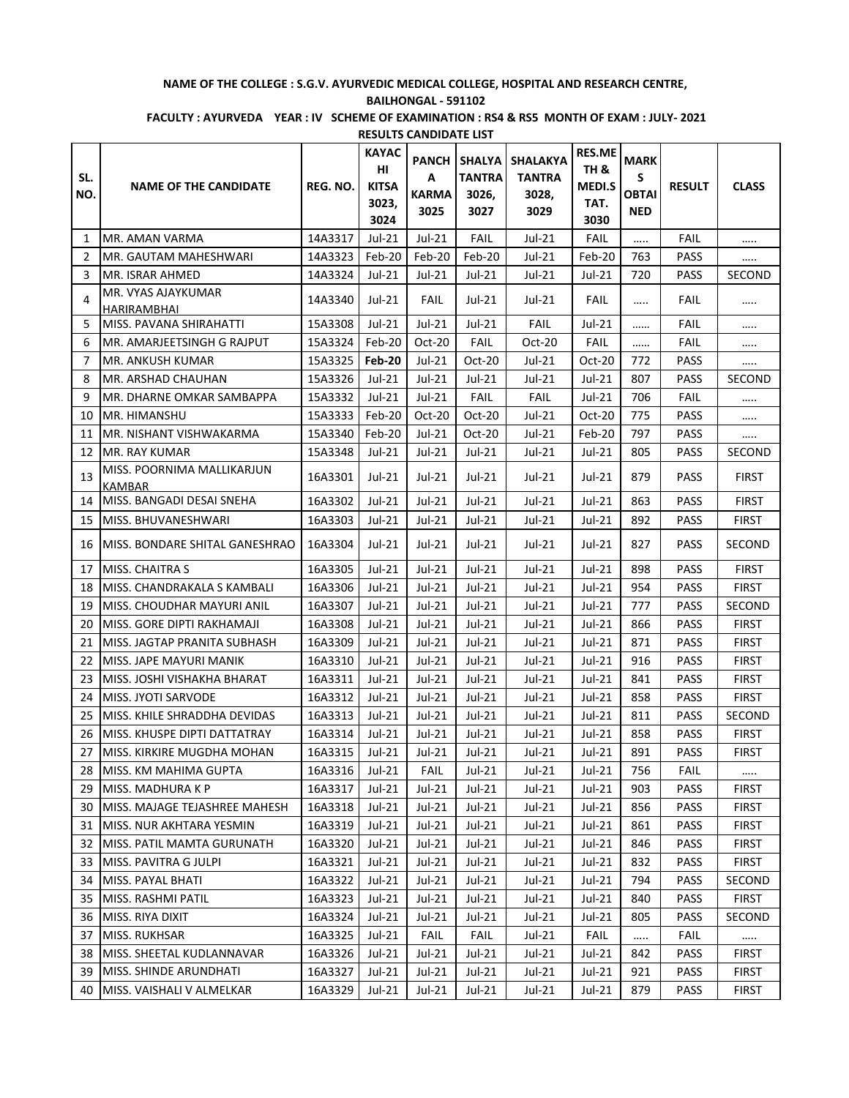#### **NAME OF THE COLLEGE : S.G.V. AYURVEDIC MEDICAL COLLEGE, HOSPITAL AND RESEARCH CENTRE, BAILHONGAL - 591102 FACULTY : AYURVEDA YEAR : IV SCHEME OF EXAMINATION : RS4 & RS5 MONTH OF EXAM : JULY- 2021**

**RESULTS CANDIDATE LIST** 

| SL.<br>NO. | <b>NAME OF THE CANDIDATE</b>                | REG. NO. | <b>KAYAC</b><br>HI<br><b>KITSA</b><br>3023,<br>3024 | <b>PANCH</b><br>Α<br><b>KARMA</b><br>3025 | <b>SHALYA</b><br><b>TANTRA</b><br>3026,<br>3027 | <b>SHALAKYA</b><br><b>TANTRA</b><br>3028,<br>3029 | <b>RES.ME</b><br>TH &<br>MEDI.S<br>TAT.<br>3030 | <b>MARK</b><br>S<br><b>OBTAI</b><br><b>NED</b> | <b>RESULT</b> | <b>CLASS</b>  |
|------------|---------------------------------------------|----------|-----------------------------------------------------|-------------------------------------------|-------------------------------------------------|---------------------------------------------------|-------------------------------------------------|------------------------------------------------|---------------|---------------|
| 1          | MR. AMAN VARMA                              | 14A3317  | $Jul-21$                                            | $Jul-21$                                  | FAIL                                            | Jul-21                                            | FAIL                                            |                                                | <b>FAIL</b>   |               |
| 2          | MR. GAUTAM MAHESHWARI                       | 14A3323  | Feb-20                                              | Feb-20                                    | Feb-20                                          | Jul-21                                            | Feb-20                                          | 763                                            | <b>PASS</b>   |               |
| 3          | MR. ISRAR AHMED                             | 14A3324  | Jul-21                                              | Jul-21                                    | Jul-21                                          | Jul-21                                            | Jul-21                                          | 720                                            | PASS          | SECOND        |
| 4          | MR. VYAS AJAYKUMAR<br><b>HARIRAMBHAI</b>    | 14A3340  | Jul-21                                              | FAIL                                      | Jul-21                                          | Jul-21                                            | FAIL                                            |                                                | FAIL          |               |
| 5          | MISS. PAVANA SHIRAHATTI                     | 15A3308  | Jul-21                                              | $Jul-21$                                  | Jul-21                                          | <b>FAIL</b>                                       | $Jul-21$                                        |                                                | <b>FAIL</b>   |               |
| 6          | MR. AMARJEETSINGH G RAJPUT                  | 15A3324  | Feb-20                                              | Oct-20                                    | FAIL                                            | Oct-20                                            | FAIL                                            |                                                | <b>FAIL</b>   |               |
| 7          | MR. ANKUSH KUMAR                            | 15A3325  | Feb-20                                              | $Jul-21$                                  | Oct-20                                          | Jul-21                                            | Oct-20                                          | 772                                            | PASS          |               |
| 8          | MR. ARSHAD CHAUHAN                          | 15A3326  | $Jul-21$                                            | $Jul-21$                                  | $Jul-21$                                        | Jul-21                                            | $Jul-21$                                        | 807                                            | PASS          | SECOND        |
| 9          | MR. DHARNE OMKAR SAMBAPPA                   | 15A3332  | $Jul-21$                                            | $Jul-21$                                  | FAIL                                            | <b>FAIL</b>                                       | Jul-21                                          | 706                                            | <b>FAIL</b>   |               |
| 10         | MR. HIMANSHU                                | 15A3333  | Feb-20                                              | Oct-20                                    | Oct-20                                          | Jul-21                                            | Oct-20                                          | 775                                            | PASS          |               |
| 11         | MR. NISHANT VISHWAKARMA                     | 15A3340  | Feb-20                                              | $Jul-21$                                  | $Oct-20$                                        | $Jul-21$                                          | Feb-20                                          | 797                                            | PASS          |               |
| 12         | MR. RAY KUMAR                               | 15A3348  | Jul-21                                              | Jul-21                                    | $Jul-21$                                        | $Jul-21$                                          | Jul-21                                          | 805                                            | PASS          | SECOND        |
| 13         | MISS. POORNIMA MALLIKARJUN<br><b>KAMBAR</b> | 16A3301  | Jul-21                                              | Jul-21                                    | Jul-21                                          | Jul-21                                            | Jul-21                                          | 879                                            | PASS          | <b>FIRST</b>  |
| 14         | MISS. BANGADI DESAI SNEHA                   | 16A3302  | Jul-21                                              | $Jul-21$                                  | Jul-21                                          | Jul-21                                            | Jul-21                                          | 863                                            | <b>PASS</b>   | <b>FIRST</b>  |
| 15         | MISS. BHUVANESHWARI                         | 16A3303  | Jul-21                                              | Jul-21                                    | Jul-21                                          | $Jul-21$                                          | Jul-21                                          | 892                                            | PASS          | FIRST         |
| 16         | MISS. BONDARE SHITAL GANESHRAO              | 16A3304  | Jul-21                                              | Jul-21                                    | Jul-21                                          | Jul-21                                            | Jul-21                                          | 827                                            | PASS          | <b>SECOND</b> |
| 17         | MISS. CHAITRA S                             | 16A3305  | Jul-21                                              | $Jul-21$                                  | Jul-21                                          | Jul-21                                            | Jul-21                                          | 898                                            | PASS          | <b>FIRST</b>  |
| 18         | MISS. CHANDRAKALA S KAMBALI                 | 16A3306  | Jul-21                                              | $Jul-21$                                  | $Jul-21$                                        | Jul-21                                            | Jul-21                                          | 954                                            | PASS          | <b>FIRST</b>  |
| 19         | MISS. CHOUDHAR MAYURI ANIL                  | 16A3307  | Jul-21                                              | $Jul-21$                                  | Jul-21                                          | Jul-21                                            | Jul-21                                          | 777                                            | <b>PASS</b>   | <b>SECOND</b> |
| 20         | MISS. GORE DIPTI RAKHAMAJI                  | 16A3308  | Jul-21                                              | Jul-21                                    | Jul-21                                          | Jul-21                                            | Jul-21                                          | 866                                            | PASS          | <b>FIRST</b>  |
| 21         | MISS. JAGTAP PRANITA SUBHASH                | 16A3309  | $Jul-21$                                            | $Jul-21$                                  | Jul-21                                          | $Jul-21$                                          | Jul-21                                          | 871                                            | PASS          | <b>FIRST</b>  |
| 22         | MISS. JAPE MAYURI MANIK                     | 16A3310  | Jul-21                                              | Jul-21                                    | Jul-21                                          | Jul-21                                            | Jul-21                                          | 916                                            | PASS          | <b>FIRST</b>  |
| 23         | MISS. JOSHI VISHAKHA BHARAT                 | 16A3311  | Jul-21                                              | $Jul-21$                                  | Jul-21                                          | Jul-21                                            | Jul-21                                          | 841                                            | PASS          | <b>FIRST</b>  |
| 24         | MISS. JYOTI SARVODE                         | 16A3312  | $Jul-21$                                            | $Jul-21$                                  | $Jul-21$                                        | $Jul-21$                                          | $Jul-21$                                        | 858                                            | PASS          | <b>FIRST</b>  |
| 25         | MISS. KHILE SHRADDHA DEVIDAS                | 16A3313  | $Jul-21$                                            | Jul-21                                    | Jul-21                                          | Jul-21                                            | Jul-21                                          | 811                                            | PASS          | SECOND        |
| 26         | MISS. KHUSPE DIPTI DATTATRAY                | 16A3314  | Jul-21                                              | $Jul-21$                                  | $Jul-21$                                        | Jul-21                                            | Jul-21                                          | 858                                            | PASS          | <b>FIRST</b>  |
| 27         | MISS. KIRKIRE MUGDHA MOHAN                  | 16A3315  | Jul-21                                              | Jul-21                                    | Jul-21                                          | $Jul-21$                                          | $Jul-21$                                        | 891                                            | PASS          | <b>FIRST</b>  |
| 28         | MISS. KM MAHIMA GUPTA                       | 16A3316  | $Jul-21$                                            | <b>FAIL</b>                               | $Jul-21$                                        | $Jul-21$                                          | $Jul-21$                                        | 756                                            | <b>FAIL</b>   |               |
| 29         | MISS. MADHURA K P                           | 16A3317  | $Jul-21$                                            | $Jul-21$                                  | $Jul-21$                                        | $Jul-21$                                          | $Jul-21$                                        | 903                                            | PASS          | <b>FIRST</b>  |
| 30         | MISS. MAJAGE TEJASHREE MAHESH               | 16A3318  | Jul-21                                              | $Jul-21$                                  | $Jul-21$                                        | $Jul-21$                                          | $Jul-21$                                        | 856                                            | PASS          | <b>FIRST</b>  |
|            | 31 MISS. NUR AKHTARA YESMIN                 | 16A3319  | $Jul-21$                                            | $Jul-21$                                  | $Jul-21$                                        | $Jul-21$                                          | $Jul-21$                                        | 861                                            | PASS          | <b>FIRST</b>  |
| 32         | MISS. PATIL MAMTA GURUNATH                  | 16A3320  | Jul-21                                              | Jul-21                                    | $Jul-21$                                        | Jul-21                                            | $Jul-21$                                        | 846                                            | <b>PASS</b>   | <b>FIRST</b>  |
| 33         | MISS. PAVITRA G JULPI                       | 16A3321  | $Jul-21$                                            | $Jul-21$                                  | $Jul-21$                                        | $Jul-21$                                          | $Jul-21$                                        | 832                                            | PASS          | <b>FIRST</b>  |
| 34         | MISS. PAYAL BHATI                           | 16A3322  | Jul-21                                              | $Jul-21$                                  | $Jul-21$                                        | $Jul-21$                                          | $Jul-21$                                        | 794                                            | PASS          | SECOND        |
| 35         | MISS. RASHMI PATIL                          | 16A3323  | Jul-21                                              | $Jul-21$                                  | Jul-21                                          | $Jul-21$                                          | $Jul-21$                                        | 840                                            | PASS          | <b>FIRST</b>  |
|            | 36 MISS. RIYA DIXIT                         | 16A3324  | $Jul-21$                                            | $Jul-21$                                  | Jul-21                                          | Jul-21                                            | $Jul-21$                                        | 805                                            | PASS          | <b>SECOND</b> |
| 37         | <b>MISS. RUKHSAR</b>                        | 16A3325  | Jul-21                                              | <b>FAIL</b>                               | <b>FAIL</b>                                     | Jul-21                                            | <b>FAIL</b>                                     |                                                | <b>FAIL</b>   |               |
| 38         | MISS. SHEETAL KUDLANNAVAR                   | 16A3326  | Jul-21                                              | $Jul-21$                                  | $Jul-21$                                        | $Jul-21$                                          | $Jul-21$                                        | 842                                            | PASS          | <b>FIRST</b>  |
| 39         | MISS. SHINDE ARUNDHATI                      | 16A3327  | Jul-21                                              | $Jul-21$                                  | Jul-21                                          | $Jul-21$                                          | $Jul-21$                                        | 921                                            | <b>PASS</b>   | <b>FIRST</b>  |
| 40         | MISS. VAISHALI V ALMELKAR                   | 16A3329  | Jul-21                                              | $Jul-21$                                  | Jul-21                                          | $Jul-21$                                          | $Jul-21$                                        | 879                                            | PASS          | <b>FIRST</b>  |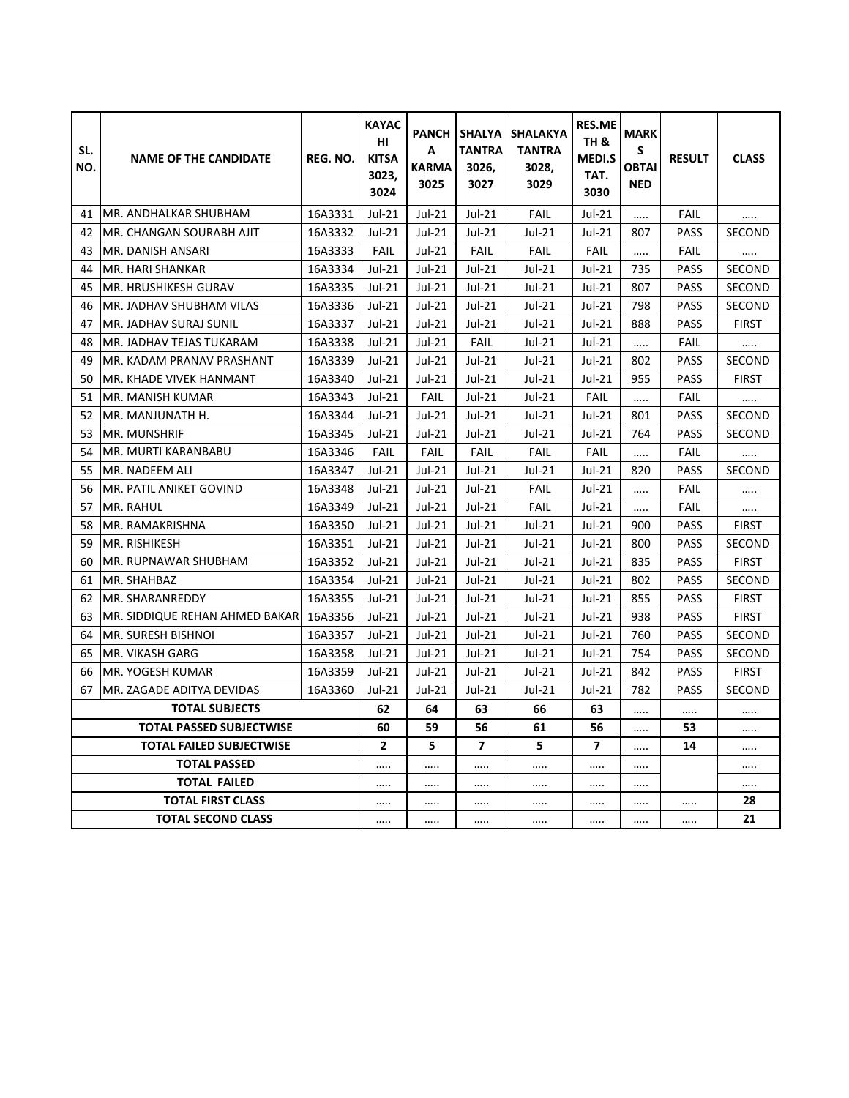| SL.<br>NO.                      | <b>NAME OF THE CANDIDATE</b>           | REG. NO. | <b>KAYAC</b><br>ΗI<br><b>KITSA</b><br>3023,<br>3024 | A<br><b>KARMA</b><br>3025 | <b>PANCH   SHALYA  </b><br><b>TANTRA</b><br>3026,<br>3027 | <b>SHALAKYA</b><br><b>TANTRA</b><br>3028,<br>3029 | <b>RES.ME</b><br>TH &<br><b>MEDI.S</b><br>TAT.<br>3030 | <b>MARK</b><br>S<br><b>OBTAI</b><br><b>NED</b> | <b>RESULT</b> | <b>CLASS</b>  |
|---------------------------------|----------------------------------------|----------|-----------------------------------------------------|---------------------------|-----------------------------------------------------------|---------------------------------------------------|--------------------------------------------------------|------------------------------------------------|---------------|---------------|
| 41                              | IMR. ANDHALKAR SHUBHAM                 | 16A3331  | Jul-21                                              | $Jul-21$                  | Jul-21                                                    | FAIL                                              | $Jul-21$                                               |                                                | FAIL          |               |
| 42                              | MR. CHANGAN SOURABH AJIT               | 16A3332  | Jul-21                                              | $Jul-21$                  | Jul-21                                                    | $Jul-21$                                          | $Jul-21$                                               | 807                                            | PASS          | <b>SECOND</b> |
| 43                              | MR. DANISH ANSARI                      | 16A3333  | <b>FAIL</b>                                         | $Jul-21$                  | FAIL                                                      | <b>FAIL</b>                                       | FAIL                                                   |                                                | <b>FAIL</b>   |               |
| 44                              | MR. HARI SHANKAR                       | 16A3334  | Jul-21                                              | Jul-21                    | Jul-21                                                    | Jul-21                                            | Jul-21                                                 | 735                                            | <b>PASS</b>   | SECOND        |
| 45                              | MR. HRUSHIKESH GURAV                   | 16A3335  | $Jul-21$                                            | $Jul-21$                  | $Jul-21$                                                  | $Jul-21$                                          | $Jul-21$                                               | 807                                            | <b>PASS</b>   | <b>SECOND</b> |
| 46                              | MR. JADHAV SHUBHAM VILAS               | 16A3336  | Jul-21                                              | Jul-21                    | Jul-21                                                    | Jul-21                                            | Jul-21                                                 | 798                                            | <b>PASS</b>   | <b>SECOND</b> |
| 47                              | MR. JADHAV SURAJ SUNIL                 | 16A3337  | Jul-21                                              | $Jul-21$                  | Jul-21                                                    | Jul-21                                            | $Jul-21$                                               | 888                                            | PASS          | <b>FIRST</b>  |
| 48                              | MR. JADHAV TEJAS TUKARAM               | 16A3338  | $Jul-21$                                            | $Jul-21$                  | FAIL                                                      | $Jul-21$                                          | $Jul-21$                                               |                                                | FAIL          |               |
| 49                              | MR. KADAM PRANAV PRASHANT              | 16A3339  | Jul-21                                              | Jul-21                    | Jul-21                                                    | $Jul-21$                                          | Jul-21                                                 | 802                                            | <b>PASS</b>   | SECOND        |
| 50                              | MR. KHADE VIVEK HANMANT                | 16A3340  | $Jul-21$                                            | Jul-21                    | Jul-21                                                    | $Jul-21$                                          | $Jul-21$                                               | 955                                            | PASS          | <b>FIRST</b>  |
| 51                              | MR. MANISH KUMAR                       | 16A3343  | Jul-21                                              | <b>FAIL</b>               | $Jul-21$                                                  | Jul-21                                            | <b>FAIL</b>                                            |                                                | FAIL          |               |
| 52                              | MR. MANJUNATH H.                       | 16A3344  | Jul-21                                              | $Jul-21$                  | Jul-21                                                    | Jul-21                                            | Jul-21                                                 | 801                                            | <b>PASS</b>   | SECOND        |
| 53                              | <b>MR. MUNSHRIF</b>                    | 16A3345  | Jul-21                                              | Jul-21                    | Jul-21                                                    | Jul-21                                            | Jul-21                                                 | 764                                            | PASS          | <b>SECOND</b> |
| 54                              | MR. MURTI KARANBABU                    | 16A3346  | <b>FAIL</b>                                         | <b>FAIL</b>               | <b>FAIL</b>                                               | <b>FAIL</b>                                       | <b>FAIL</b>                                            |                                                | <b>FAIL</b>   |               |
| 55                              | MR. NADEEM ALI                         | 16A3347  | Jul-21                                              | Jul-21                    | Jul-21                                                    | Jul-21                                            | Jul-21                                                 | 820                                            | <b>PASS</b>   | SECOND        |
| 56                              | MR. PATIL ANIKET GOVIND                | 16A3348  | Jul-21                                              | $Jul-21$                  | Jul-21                                                    | FAIL                                              | $Jul-21$                                               | $\cdots$                                       | FAIL          |               |
| 57                              | MR. RAHUL                              | 16A3349  | Jul-21                                              | $Jul-21$                  | $Jul-21$                                                  | FAIL                                              | $Jul-21$                                               | $\cdots$                                       | FAIL          |               |
| 58                              | MR. RAMAKRISHNA                        | 16A3350  | Jul-21                                              | Jul-21                    | $Jul-21$                                                  | $Jul-21$                                          | Jul-21                                                 | 900                                            | PASS          | <b>FIRST</b>  |
| 59                              | MR. RISHIKESH                          | 16A3351  | Jul-21                                              | $Jul-21$                  | Jul-21                                                    | Jul-21                                            | $Jul-21$                                               | 800                                            | <b>PASS</b>   | SECOND        |
| 60                              | MR. RUPNAWAR SHUBHAM                   | 16A3352  | Jul-21                                              | Jul-21                    | Jul-21                                                    | Jul-21                                            | $Jul-21$                                               | 835                                            | <b>PASS</b>   | <b>FIRST</b>  |
| 61                              | MR. SHAHBAZ                            | 16A3354  | Jul-21                                              | Jul-21                    | Jul-21                                                    | $Jul-21$                                          | $Jul-21$                                               | 802                                            | <b>PASS</b>   | <b>SECOND</b> |
| 62                              | MR. SHARANREDDY                        | 16A3355  | Jul-21                                              | $Jul-21$                  | $Jul-21$                                                  | $Jul-21$                                          | $Jul-21$                                               | 855                                            | <b>PASS</b>   | <b>FIRST</b>  |
| 63                              | MR. SIDDIQUE REHAN AHMED BAKAR 16A3356 |          | Jul-21                                              | Jul-21                    | Jul-21                                                    | Jul-21                                            | Jul-21                                                 | 938                                            | <b>PASS</b>   | <b>FIRST</b>  |
| 64                              | MR. SURESH BISHNOI                     | 16A3357  | Jul-21                                              | $Jul-21$                  | Jul-21                                                    | Jul-21                                            | $Jul-21$                                               | 760                                            | <b>PASS</b>   | SECOND        |
| 65                              | MR. VIKASH GARG                        | 16A3358  | Jul-21                                              | Jul-21                    | Jul-21                                                    | Jul-21                                            | $Jul-21$                                               | 754                                            | <b>PASS</b>   | SECOND        |
| 66                              | MR. YOGESH KUMAR                       | 16A3359  | $Jul-21$                                            | $Jul-21$                  | $Jul-21$                                                  | $Jul-21$                                          | $Jul-21$                                               | 842                                            | PASS          | <b>FIRST</b>  |
| 67                              | MR. ZAGADE ADITYA DEVIDAS              | 16A3360  | Jul-21                                              | $Jul-21$                  | Jul-21                                                    | Jul-21                                            | $Jul-21$                                               | 782                                            | PASS          | <b>SECOND</b> |
| <b>TOTAL SUBJECTS</b>           |                                        |          | 62                                                  | 64                        | 63                                                        | 66                                                | 63                                                     | $\cdots$                                       |               |               |
| <b>TOTAL PASSED SUBJECTWISE</b> |                                        |          | 60                                                  | 59                        | 56                                                        | 61                                                | 56                                                     |                                                | 53            |               |
| <b>TOTAL FAILED SUBJECTWISE</b> |                                        |          | 2                                                   | 5                         | $\overline{\phantom{a}}$                                  | 5                                                 | $\overline{7}$                                         |                                                | 14            |               |
| <b>TOTAL PASSED</b>             |                                        |          |                                                     |                           |                                                           |                                                   |                                                        |                                                |               |               |
| <b>TOTAL FAILED</b>             |                                        |          |                                                     |                           |                                                           |                                                   |                                                        |                                                |               |               |
| <b>TOTAL FIRST CLASS</b>        |                                        |          |                                                     |                           |                                                           |                                                   |                                                        |                                                |               | 28            |
|                                 | <b>TOTAL SECOND CLASS</b>              |          |                                                     |                           |                                                           |                                                   |                                                        |                                                |               | 21            |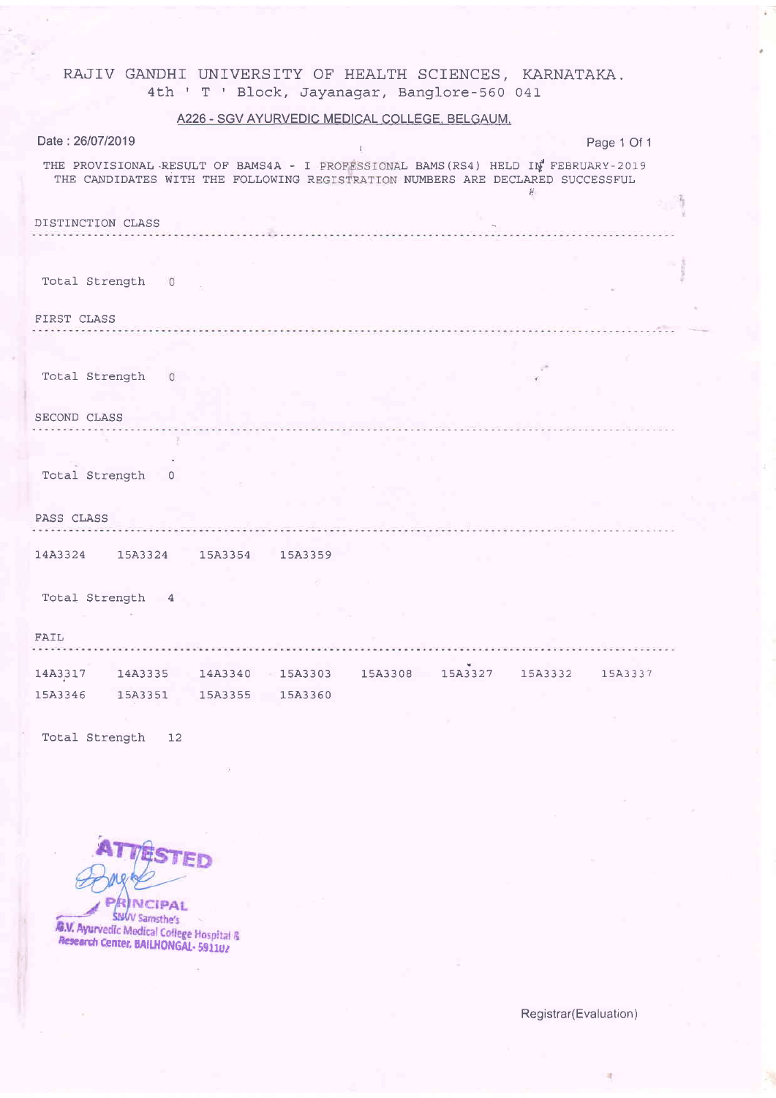## A226 - SGV AYURVEDIC MEDICAL COLLEGE, BELGAUM,

| Date: 26/07/2019                                                                                                                                                    | Page 1 Of 1 |
|---------------------------------------------------------------------------------------------------------------------------------------------------------------------|-------------|
| THE PROVISIONAL RESULT OF BAMS4A - I PROFESSIONAL BAMS(RS4) HELD IN FEBRUARY-2019<br>THE CANDIDATES WITH THE FOLLOWING REGISTRATION NUMBERS ARE DECLARED SUCCESSFUL |             |
|                                                                                                                                                                     |             |
| DISTINCTION CLASS                                                                                                                                                   |             |
|                                                                                                                                                                     |             |
|                                                                                                                                                                     |             |
| Total Strength 0                                                                                                                                                    |             |
|                                                                                                                                                                     |             |
| FIRST CLASS                                                                                                                                                         |             |
|                                                                                                                                                                     |             |
|                                                                                                                                                                     |             |
| Total Strength 0                                                                                                                                                    |             |
|                                                                                                                                                                     |             |
|                                                                                                                                                                     |             |
| SECOND CLASS                                                                                                                                                        |             |
|                                                                                                                                                                     |             |
|                                                                                                                                                                     |             |
| Total Strength 0                                                                                                                                                    |             |
|                                                                                                                                                                     |             |
| PASS CLASS                                                                                                                                                          |             |
|                                                                                                                                                                     |             |
| 14A3324 15A3324 15A3354 15A3359                                                                                                                                     |             |
|                                                                                                                                                                     |             |
|                                                                                                                                                                     |             |
| Total Strength 4                                                                                                                                                    |             |
|                                                                                                                                                                     |             |
| FAIL                                                                                                                                                                |             |
|                                                                                                                                                                     |             |
| 14A3317 14A3335 14A3340 15A3303 15A3308 15A3327 15A3332                                                                                                             | 15A3337     |
| 15A3351 15A3355<br>15A3346<br>15A3360                                                                                                                               |             |
|                                                                                                                                                                     |             |

Total Strength 12

VESTED **PRINCIPAL** 

saww samsthe's **G.V.** Ayurvedic Medical College Hospital & Research Center, BAILHONGAL-591102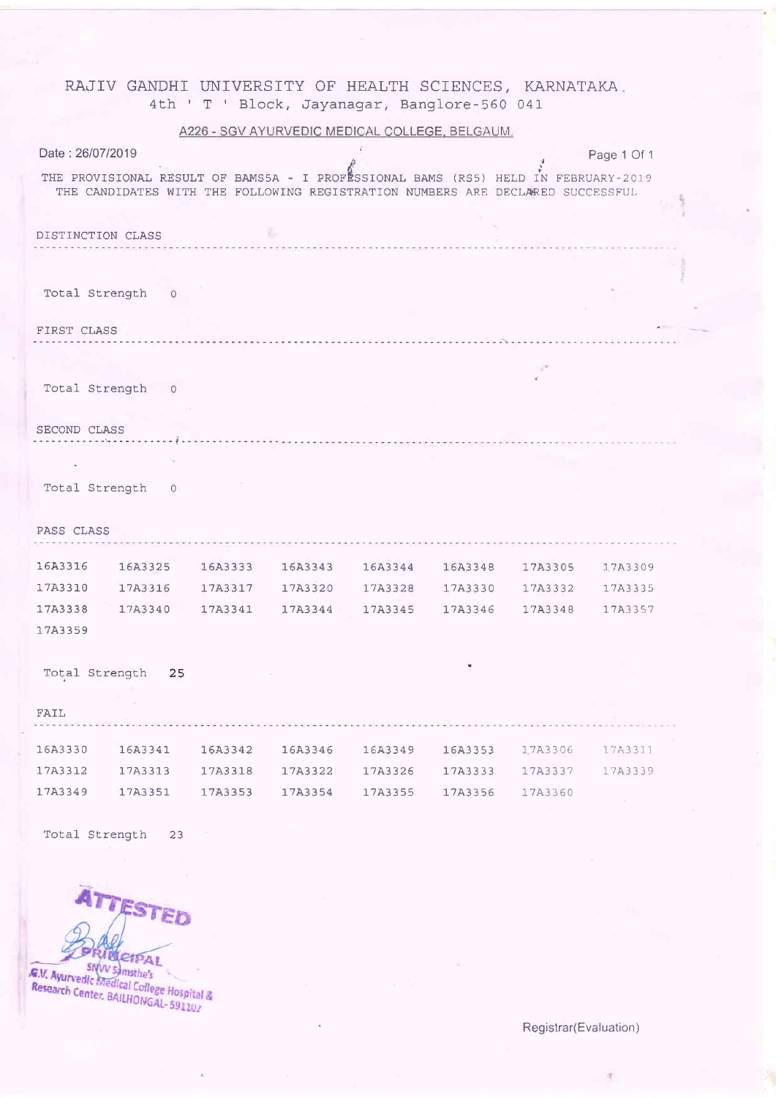A226 - SGV AYURVEDIC MEDICAL COLLEGE, BELGAUM.

| Date: 26/07/2019   |                                                                                                                                                                      |                    |                    |                    |                    |                    | Page 1 Of 1        |
|--------------------|----------------------------------------------------------------------------------------------------------------------------------------------------------------------|--------------------|--------------------|--------------------|--------------------|--------------------|--------------------|
|                    | THE PROVISIONAL RESULT OF BAMS5A - I PROFESSIONAL BAMS (RS5) HELD IN FEBRUARY-2019<br>THE CANDIDATES WITH THE FOLLOWING REGISTRATION NUMBERS ARE DECLARED SUCCESSFUL |                    |                    |                    |                    |                    |                    |
| DISTINCTION CLASS  |                                                                                                                                                                      |                    |                    |                    |                    |                    |                    |
|                    |                                                                                                                                                                      |                    |                    |                    |                    |                    |                    |
| Total Strength     | $\circ$                                                                                                                                                              |                    |                    |                    |                    |                    |                    |
| FIRST CLASS        |                                                                                                                                                                      |                    |                    |                    |                    |                    |                    |
|                    |                                                                                                                                                                      |                    |                    |                    |                    |                    |                    |
| Total Strength 0   |                                                                                                                                                                      |                    |                    |                    |                    |                    |                    |
|                    |                                                                                                                                                                      |                    |                    |                    |                    |                    |                    |
| SECOND CLASS       |                                                                                                                                                                      |                    |                    |                    |                    |                    |                    |
|                    |                                                                                                                                                                      |                    |                    |                    |                    |                    |                    |
| Total Strength     | 0                                                                                                                                                                    |                    |                    |                    |                    |                    |                    |
| PASS CLASS         |                                                                                                                                                                      |                    |                    |                    |                    |                    |                    |
| 16A3316            | 16A3325                                                                                                                                                              | 16A3333            | 16A3343            | 16A3344            | 16A3348            | 17A3305            | 17A3309            |
| 17A3310            | 17A3316                                                                                                                                                              | 17A3317            | 17A3320            | 17A3328            | 17A3330            | 17A3332            | 17A3335            |
| 17A3338            | 17A3340 17A3341 17A3344                                                                                                                                              |                    |                    | 17A3345            | 17A3346            | 17A3348            | 17A3357            |
| 17A3359            |                                                                                                                                                                      |                    |                    |                    |                    |                    |                    |
| Total Strength     | 25                                                                                                                                                                   |                    |                    |                    |                    |                    |                    |
|                    |                                                                                                                                                                      |                    |                    |                    |                    |                    |                    |
| FAIL               |                                                                                                                                                                      |                    |                    |                    |                    |                    |                    |
|                    |                                                                                                                                                                      |                    |                    |                    |                    |                    |                    |
| 16A3330<br>17A3312 | 16A3341<br>17A3313                                                                                                                                                   | 16A3342<br>17A3318 | 16A3346<br>17A3322 | 16A3349<br>17A3326 | 16A3353<br>17A3333 | 17A3306<br>17A3337 | 17A3311<br>17A3339 |
| 17A3349            | 17A3351                                                                                                                                                              | 17A3353            | 17A3354            | 17A3355            | 17A3356            | 17A3360            |                    |
|                    |                                                                                                                                                                      |                    |                    |                    |                    |                    | Sir.               |
| Total Strength     | 23                                                                                                                                                                   |                    |                    |                    |                    |                    |                    |

**ATTESTED** PRINCIPAL

**C.V. Ayurvedic Medical College Hospital & Research Center. BAILHONGAL-591102** 

Registrar(Evaluation)

子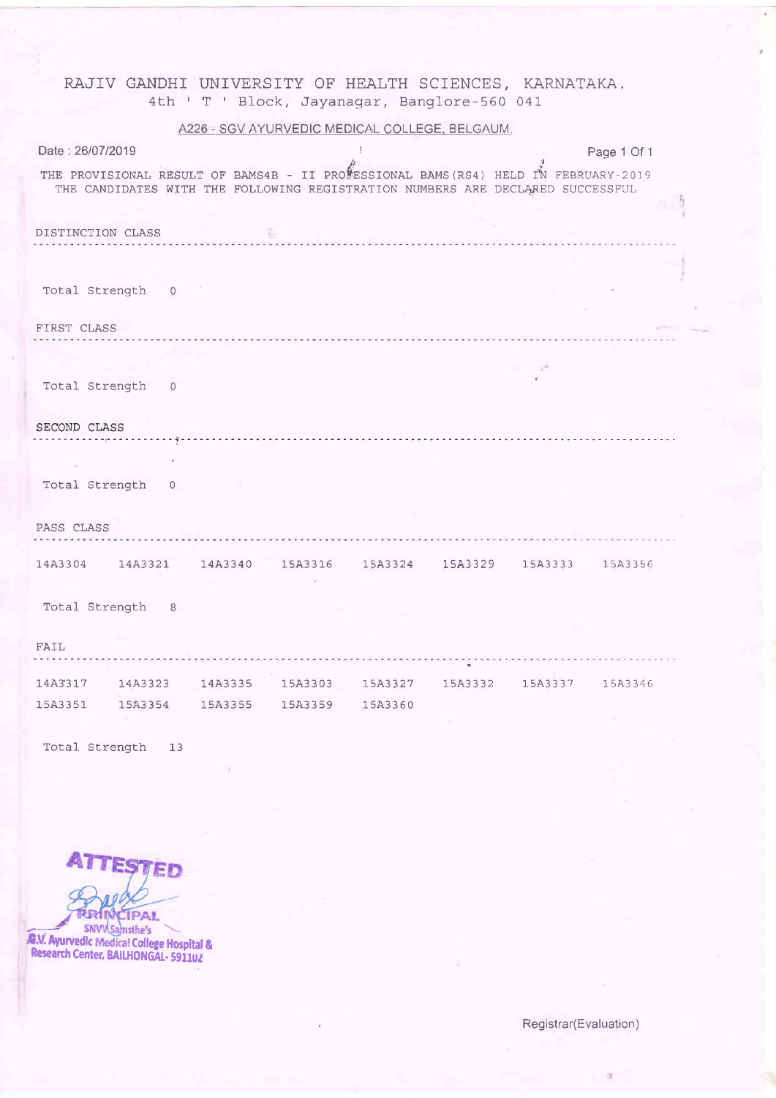#### A226 - SGV AYURVEDIC MEDICAL COLLEGE, BELGAUM.

| Date: 26/07/2019                                                                                                                                                      |   |  | Page 1 Of 1 |
|-----------------------------------------------------------------------------------------------------------------------------------------------------------------------|---|--|-------------|
| THE PROVISIONAL RESULT OF BAMS4B - II PROPESSIONAL BAMS (RS4) HELD IN FEBRUARY-2019<br>THE CANDIDATES WITH THE FOLLOWING REGISTRATION NUMBERS ARE DECLARED SUCCESSFUL |   |  |             |
| DISTINCTION CLASS                                                                                                                                                     | ÷ |  |             |
|                                                                                                                                                                       |   |  |             |
|                                                                                                                                                                       |   |  |             |
| Total Strength 0                                                                                                                                                      |   |  |             |
| FIRST CLASS                                                                                                                                                           |   |  |             |
|                                                                                                                                                                       |   |  |             |
| Total Strength 0                                                                                                                                                      |   |  |             |
|                                                                                                                                                                       |   |  |             |
| SECOND CLASS                                                                                                                                                          |   |  |             |
|                                                                                                                                                                       |   |  |             |
| Total Strength 0                                                                                                                                                      |   |  |             |
| PASS CLASS                                                                                                                                                            |   |  |             |
|                                                                                                                                                                       |   |  |             |
| 14A3304 14A3321 14A3340 15A3316 15A3324 15A3329 15A3333 15A3356                                                                                                       |   |  |             |
| Total Strength 8                                                                                                                                                      |   |  |             |
|                                                                                                                                                                       |   |  |             |
| FAIL                                                                                                                                                                  |   |  |             |
| 14A3317 14A3323 14A3335 15A3303 15A3327 15A3332 15A3337 15A3346                                                                                                       |   |  |             |

Total Strength 13

15A3351 15A3354 15A3355 15A3359 15A3360

**ATTESTED IPAL** 

SNVNSamsthe's<br>C.V. Ayurvedic Medical College Hospital &<br>Research Center, BAILHONGAL-591102

Registrar(Evaluation)

 $\frac{1}{2}$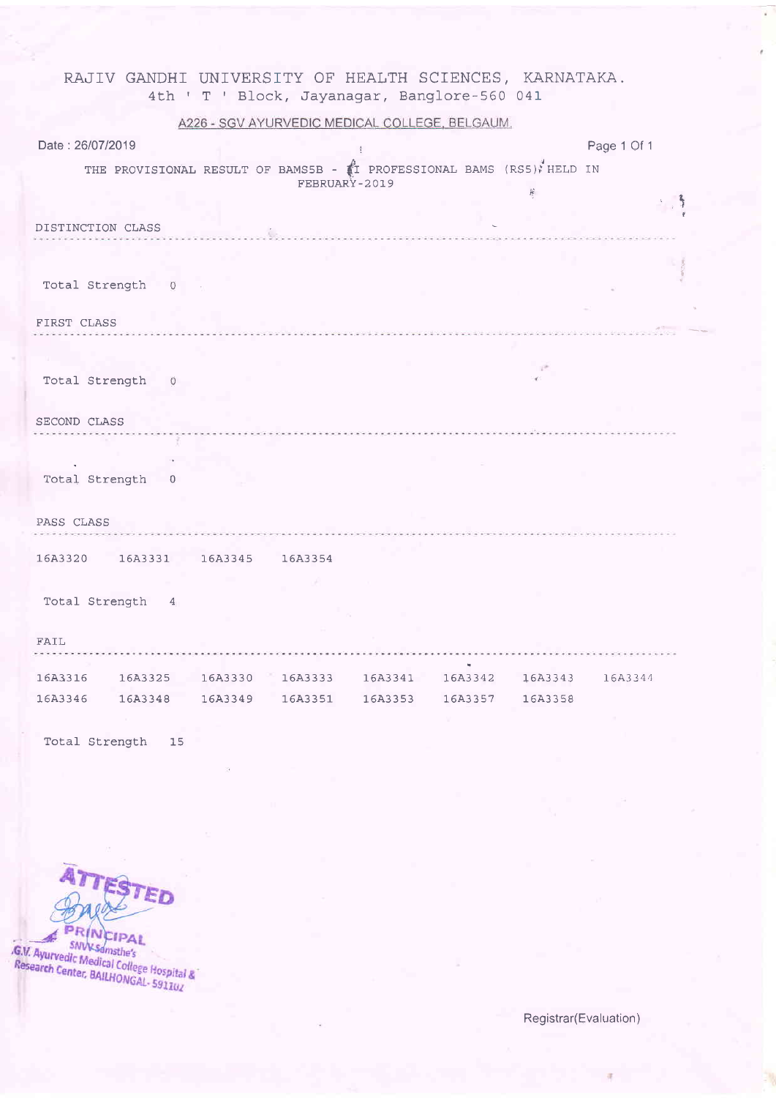|             |                   |                         |                                 | A226 - SGV AYURVEDIC MEDICAL COLLEGE, BELGAUM.                                          |                 |             |
|-------------|-------------------|-------------------------|---------------------------------|-----------------------------------------------------------------------------------------|-----------------|-------------|
|             | Date: 26/07/2019  |                         |                                 |                                                                                         |                 | Page 1 Of 1 |
|             |                   |                         |                                 | THE PROVISIONAL RESULT OF BAMS5B - (1 PROFESSIONAL BAMS (RS5); HELD IN<br>FEBRUARY-2019 |                 |             |
|             |                   |                         |                                 |                                                                                         |                 |             |
|             | DISTINCTION CLASS |                         | $\sim$                          |                                                                                         |                 |             |
|             |                   |                         |                                 |                                                                                         |                 |             |
|             | Total Strength 0  |                         |                                 |                                                                                         |                 |             |
| FIRST CLASS |                   |                         |                                 |                                                                                         |                 |             |
|             |                   |                         |                                 |                                                                                         |                 |             |
|             | Total Strength 0  |                         |                                 |                                                                                         |                 |             |
|             | SECOND CLASS      |                         |                                 |                                                                                         |                 |             |
|             |                   |                         |                                 |                                                                                         |                 |             |
|             | Total Strength 0  |                         |                                 |                                                                                         |                 |             |
| PASS CLASS  |                   |                         |                                 |                                                                                         |                 |             |
|             |                   |                         | 16A3320 16A3331 16A3345 16A3354 |                                                                                         |                 |             |
|             | Total Strength 4  |                         |                                 |                                                                                         |                 |             |
|             |                   |                         |                                 |                                                                                         |                 |             |
| FAIL        |                   |                         |                                 |                                                                                         |                 |             |
|             |                   |                         |                                 | 16A3316 16A3325 16A3330 16A3333 16A3341 16A3342 16A3343 16A3344                         |                 |             |
|             |                   | 16A3346 16A3348 16A3349 |                                 | 16A3351 16A3353                                                                         | 16A3357 16A3358 |             |
|             |                   |                         |                                 |                                                                                         |                 |             |

Total Strength 15

ESTED

**PRINCIPAL** G.V. Ayurvedic Medical College Hospital &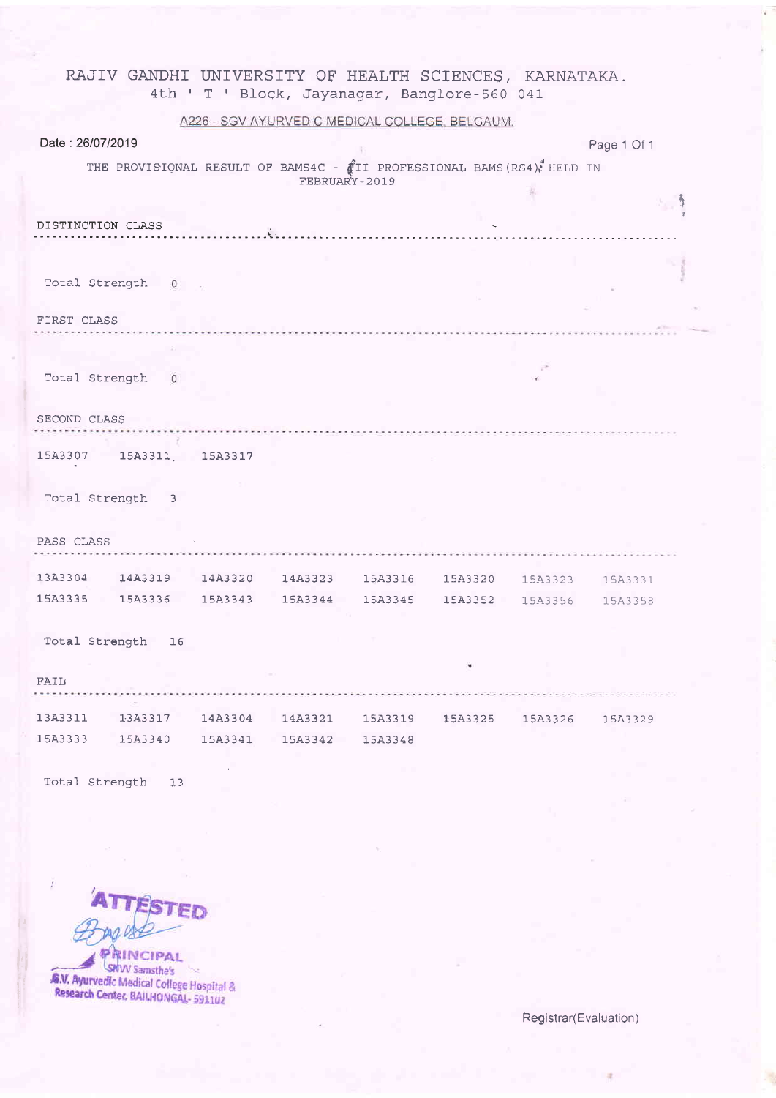A226 - SGV AYURVEDIC MEDICAL COLLEGE, BELGAUM.

| Date: 26/07/2019                                                               |   |               |  | Page 1 Of 1 |
|--------------------------------------------------------------------------------|---|---------------|--|-------------|
| THE PROVISIONAL RESULT OF BAMS4C - $\oint I$ I PROFESSIONAL BAMS(RS4), HELD IN |   |               |  |             |
|                                                                                |   | FEBRUARY-2019 |  | 人事          |
| DISTINCTION CLASS                                                              | . |               |  |             |
|                                                                                |   |               |  |             |
|                                                                                |   |               |  |             |
| Total Strength 0 .                                                             |   |               |  |             |
|                                                                                |   |               |  |             |
| FIRST CLASS                                                                    |   |               |  |             |
|                                                                                |   |               |  |             |
| Total Strength 0                                                               |   |               |  |             |
|                                                                                |   |               |  |             |
| SECOND CLASS                                                                   |   |               |  |             |
|                                                                                |   |               |  |             |
| 15A3307 15A3311, 15A3317                                                       |   |               |  |             |
|                                                                                |   |               |  |             |
| Total Strength 3                                                               |   |               |  |             |
|                                                                                |   |               |  |             |
| PASS CLASS                                                                     |   |               |  |             |
| 13A3304 14A3319 14A3320 14A3323 15A3316 15A3320 15A3323 15A3331                |   |               |  |             |
| 15A3335 15A3336 15A3343 15A3344 15A3345 15A3352 15A3356 15A3358                |   |               |  |             |
|                                                                                |   |               |  |             |
|                                                                                |   |               |  |             |
| Total Strength 16                                                              |   |               |  |             |
| FAIL                                                                           |   |               |  |             |
|                                                                                |   |               |  |             |
| 13A3311 13A3317 14A3304 14A3321 15A3319 15A3325 15A3326 15A3329                |   |               |  |             |
| 15A3333 15A3340 15A3341 15A3342 15A3348                                        |   |               |  |             |
|                                                                                |   |               |  |             |
| Total Strength 13                                                              |   |               |  |             |

**ED** 

**RINCIPAL SNVV Samsthe's G.V. Ayurvedic Medical College Hospital &**<br>Research Center, BAILHONGAL-591102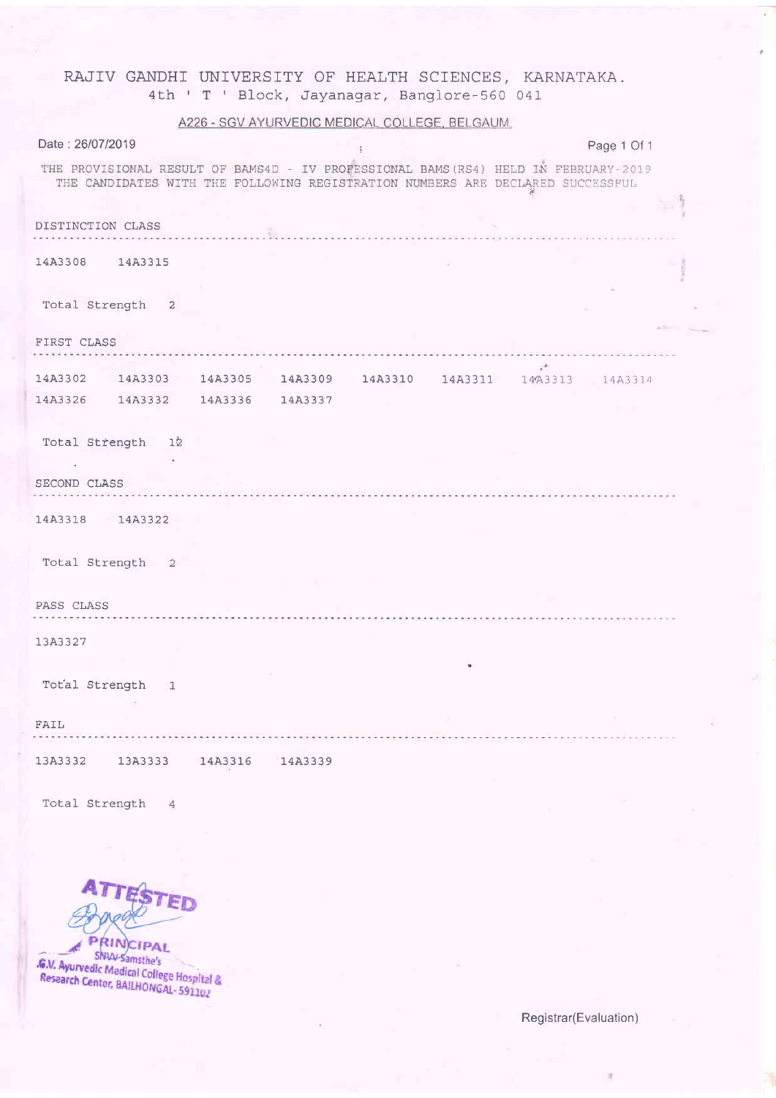A226 - SGV AYURVEDIC MEDICAL COLLEGE, BELGAUM.

| Date: 26/07/2019                                                                                   |                                                                                |  | Page 1 Of 1 |
|----------------------------------------------------------------------------------------------------|--------------------------------------------------------------------------------|--|-------------|
| THE PROVISIONAL RESULT OF BAMS4D - IV PROFESSIONAL BAMS (RS4) HELD IN FEBRUARY-2019                | THE CANDIDATES WITH THE FOLLOWING REGISTRATION NUMBERS ARE DECLARED SUCCESSFUL |  |             |
|                                                                                                    |                                                                                |  |             |
| DISTINCTION CLASS                                                                                  |                                                                                |  |             |
| 14A3308 14A3315                                                                                    |                                                                                |  |             |
| Total Strength 2                                                                                   |                                                                                |  |             |
| FIRST CLASS                                                                                        |                                                                                |  |             |
| 14A3302 14A3303 14A3305 14A3309 14A3310 14A3311 14A3313 14A3314<br>14A3326 14A3332 14A3336 14A3337 |                                                                                |  |             |
| Total Strength 12                                                                                  |                                                                                |  |             |
| SECOND CLASS                                                                                       |                                                                                |  |             |
| 14A3318 14A3322                                                                                    |                                                                                |  |             |
| Total Strength 2                                                                                   |                                                                                |  |             |
| PASS CLASS                                                                                         |                                                                                |  |             |
| 13A3327                                                                                            |                                                                                |  |             |
| Total Strength 1                                                                                   |                                                                                |  |             |
| FAIL                                                                                               |                                                                                |  |             |
| 13A3332 13A3333 14A3316 14A3339                                                                    |                                                                                |  |             |

Total Strength



PRINCIPAL **PRINCIPAL**<br>SNUV Samsthe's<br>Research Center, BAILHONGAL-591102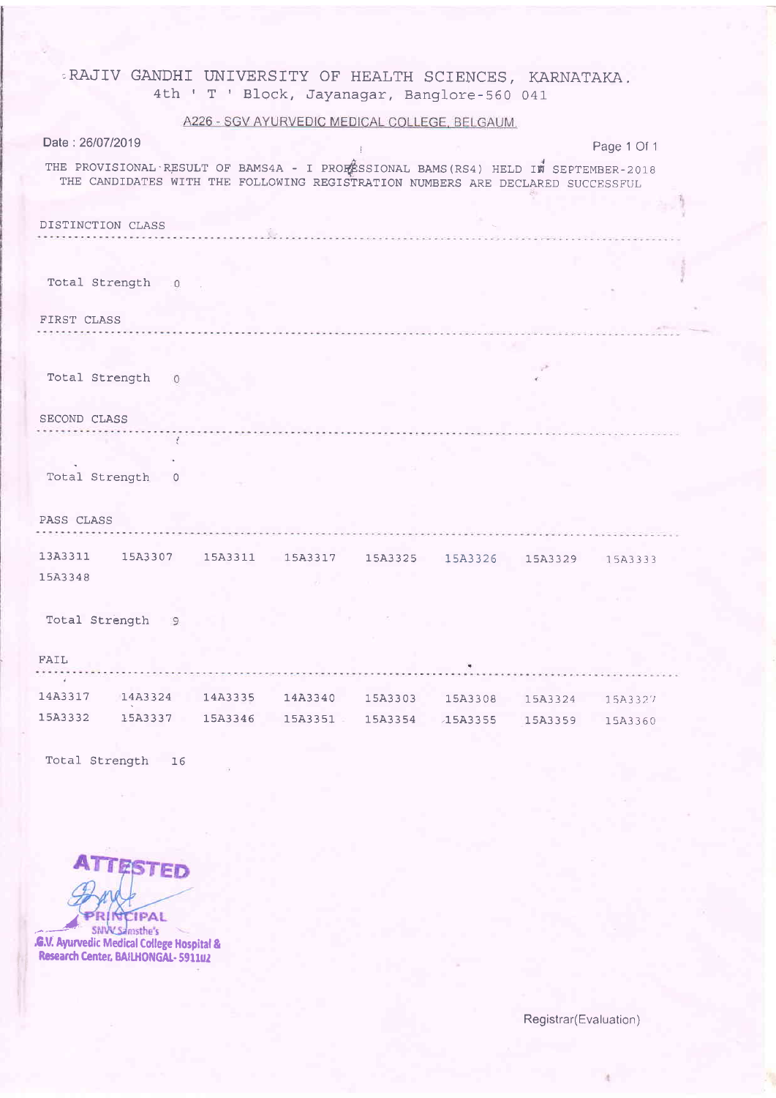A226 - SGV AYURVEDIC MEDICAL COLLEGE, BELGAUM.

| Date: 26/07/2019                                                                                                                                                      | Page 1 Of 1 |
|-----------------------------------------------------------------------------------------------------------------------------------------------------------------------|-------------|
| THE PROVISIONAL RESULT OF BAMS4A - I PROFESSIONAL BAMS (RS4) HELD IN SEPTEMBER-2018<br>THE CANDIDATES WITH THE FOLLOWING REGISTRATION NUMBERS ARE DECLARED SUCCESSFUL |             |
|                                                                                                                                                                       |             |
| DISTINCTION CLASS<br><b>March 19</b>                                                                                                                                  |             |
|                                                                                                                                                                       |             |
| Total Strength 0                                                                                                                                                      |             |
| FIRST CLASS                                                                                                                                                           |             |
|                                                                                                                                                                       |             |
| Total Strength<br>$\circ$                                                                                                                                             |             |
| SECOND CLASS                                                                                                                                                          |             |
| ŧ.                                                                                                                                                                    |             |
| Total Strength<br>$\circ$                                                                                                                                             |             |
| PASS CLASS                                                                                                                                                            |             |
|                                                                                                                                                                       |             |
| 13A3311 15A3307 15A3311 15A3317 15A3325 15A3326 15A3329 15A3333                                                                                                       |             |
| 15A3348                                                                                                                                                               |             |
| Total Strength 9                                                                                                                                                      |             |
|                                                                                                                                                                       |             |
| <b>FAIL</b>                                                                                                                                                           |             |

| 14A3317 | 14A3324 | 14A3335 | 14A3340                         | 15A3303 15A3308 15A3324 | 1543327 |
|---------|---------|---------|---------------------------------|-------------------------|---------|
| 15A3332 | 15A3337 | 15A3346 | 15A3351 15A3354 15A3355 15A3359 |                         | 15A3360 |

Total Strength 16

**ATTESTED NCIPAL** 

SNY Sansthe's<br>C.V. Ayurvedic Medical College Hospital &<br>Research Center, BAILHONGAL-591102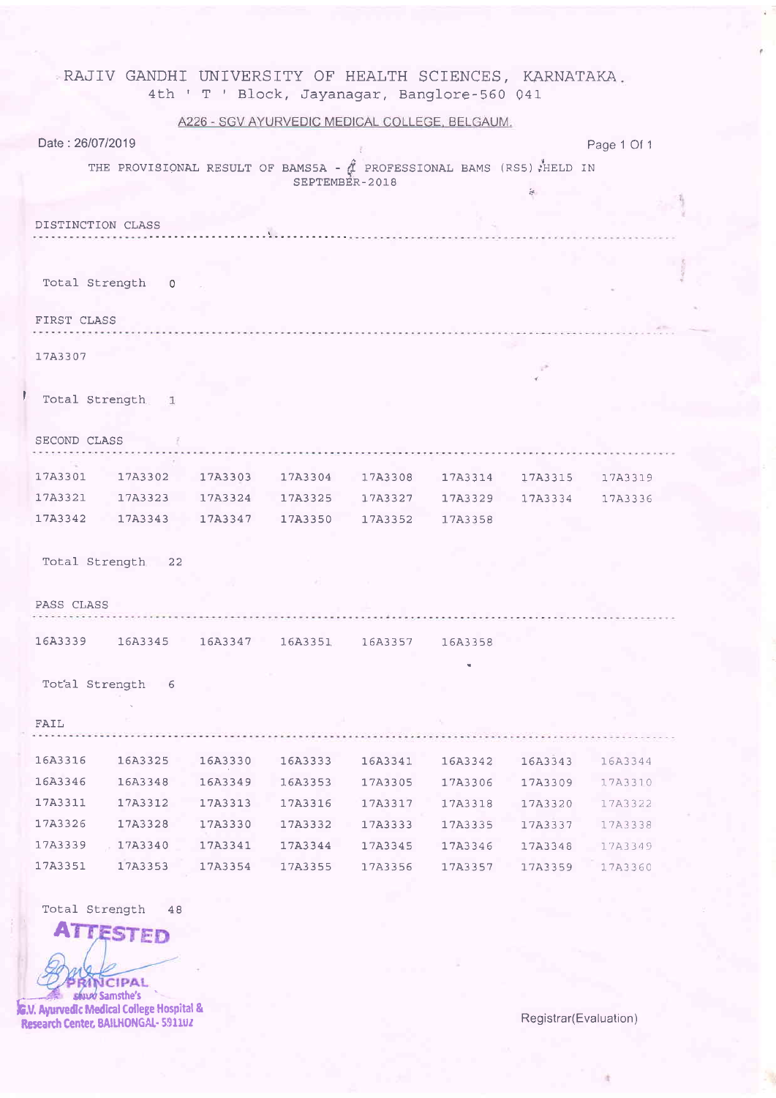A226 - SGV AYURVEDIC MEDICAL COLLEGE, BELGAUM. Date: 26/07/2019 Page 1 Of 1 THE PROVISIONAL RESULT OF BAMS5A -  $\hat{A}$  PROFESSIONAL BAMS (RS5) MELD IN SEPTEMBER-2018 DISTINCTION CLASS Total Strength 0 FIRST CLASS 17A3307 Total Strength 1 SECOND CLASS  $-$  . The set of the set of the set of the set of  $\bar{z}$ 17A3301 17A3302 17A3303 17A3304 17A3308 17A3314 17A3315 17A3319 17A3321 17A3323 17A3324 17A3325 17A3327 17A3329 17A3334 17A3336 17A3342 17A3343 17A3347 17A3350 17A3352 17A3358 Total Strength 22 PASS CLASS 16A3339 16A3345 16A3347 16A3351 16A3357 16A3358 Tot'al Strength 6 **FAIL** 16A3316 16A3325 16A3330 16A3333 16A3341 16A3342 16A3343 16A3344 16A3346 16A3348 16A3349 16A3353 17A3305 17A3306 17A3309 17A3310 17A3311 17A3312 17A3313 17A3316 17A3317 17A3318 17A3320 17A3322 17A3326 17A3328 17A3330 17A3332 17A3333 17A3335 17A3337  $17A3338$ 17A3339 17A3340 17A3341 17A3344 17A3345 17A3346 17A3348 17A3349 17A3351 17A3353 17A3354 17A3355 17A3356 17A3357 17A3359 17A3360

Total Strength 48

**LESTED** 

**INCIPAL SAIVY Samsthe's** G.V. Avurvedic Medical College Hospital & Research Center, BAILHONGAL-591102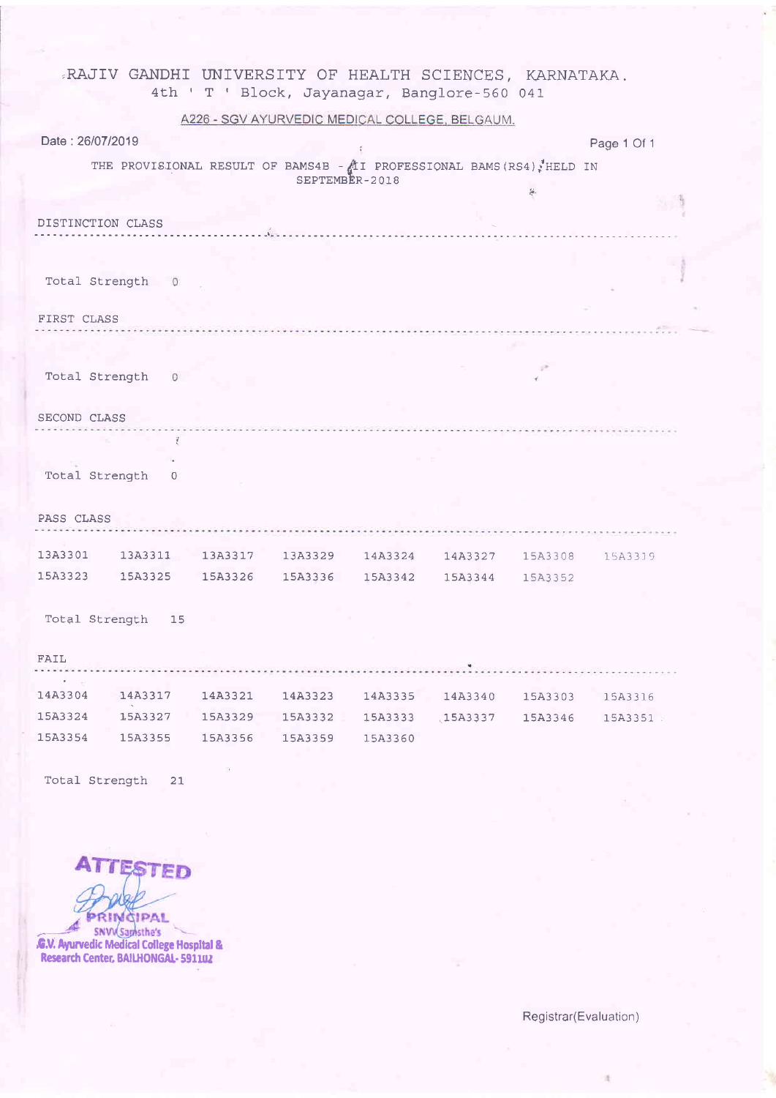A226 - SGV AYURVEDIC MEDICAL COLLEGE, BELGAUM.

| Date: 26/07/2019 |                                                                          |         |                |         |         |         | Page 1 Of 1 |
|------------------|--------------------------------------------------------------------------|---------|----------------|---------|---------|---------|-------------|
|                  | THE PROVISIONAL RESULT OF BAMS4B - $A$ I PROFESSIONAL BAMS(RS4), HELD IN |         | SEPTEMBER-2018 |         |         |         |             |
|                  |                                                                          |         |                |         |         | 윹.      |             |
|                  | DISTINCTION CLASS                                                        |         |                |         |         |         |             |
|                  |                                                                          |         |                |         |         |         |             |
|                  |                                                                          |         |                |         |         |         |             |
|                  | Total Strength 0                                                         |         |                |         |         |         |             |
| FIRST CLASS      |                                                                          |         |                |         |         |         |             |
|                  |                                                                          |         |                |         |         |         |             |
|                  |                                                                          |         |                |         |         |         |             |
|                  | Total Strength<br>$\circ$                                                |         |                |         |         |         |             |
| SECOND CLASS     |                                                                          |         |                |         |         |         |             |
|                  |                                                                          |         |                |         |         |         |             |
|                  |                                                                          |         |                |         |         |         |             |
|                  | Total Strength 0                                                         |         |                |         |         |         |             |
|                  |                                                                          |         |                |         |         |         |             |
| PASS CLASS       |                                                                          |         |                |         |         |         |             |
|                  | 13A3301 13A3311 13A3317 13A3329 14A3324 14A3327 15A3308 15A3319          |         |                |         |         |         |             |
|                  | 15A3323 15A3325 15A3326 15A3336 15A3342 15A3344 15A3352                  |         |                |         |         |         |             |
|                  |                                                                          |         |                |         |         |         |             |
|                  | Total Strength 15                                                        |         |                |         |         |         |             |
|                  |                                                                          |         |                |         |         |         |             |
| FAIL             |                                                                          |         |                |         |         |         |             |
|                  | 14A3304 14A3317 14A3321 14A3323 14A3335 14A3340 15A3303 15A3316          |         |                |         |         |         |             |
| 15A3324          | 15A3327                                                                  | 15A3329 | 15A3332        | 15A3333 | 15A3337 | 15A3346 | 15A3351     |

15A3354 15A3355 15A3356 15A3359 15A3360 .15A3337 15A3346 15A3351

Total Strength 21

**ATTESTED** PRINCIPAL

₫ G.V. Ayurvedic Medical College Hospital & Research Center, BAILHONGAL- 591102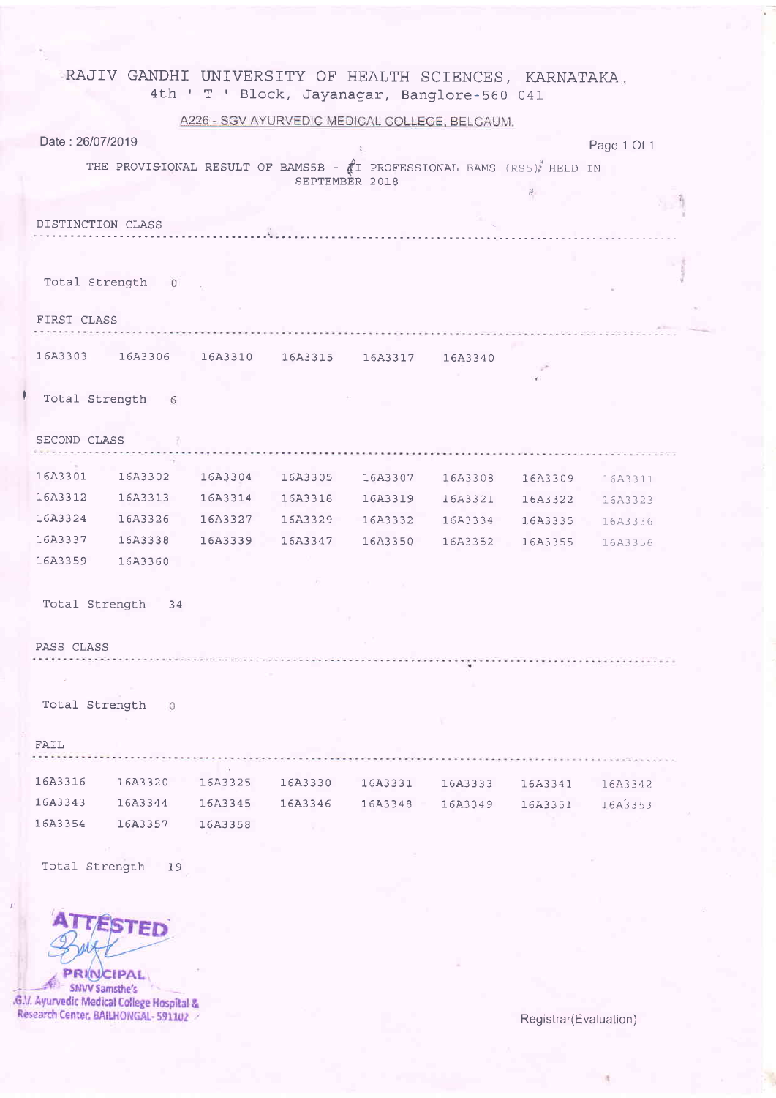A226 - SGV AYURVEDIC MEDICAL COLLEGE, BELGAUM.

|         | Date: 26/07/2019 |                         |                                                                          |                                 |                 | Page 1 Of 1 |
|---------|------------------|-------------------------|--------------------------------------------------------------------------|---------------------------------|-----------------|-------------|
|         |                  |                         | THE PROVISIONAL RESULT OF BAMS5B - $fI$ PROFESSIONAL BAMS (RS5), HELD IN |                                 |                 |             |
|         |                  |                         | SEPTEMBER-2018                                                           |                                 |                 |             |
|         |                  |                         |                                                                          |                                 |                 |             |
|         |                  | DISTINCTION CLASS       |                                                                          |                                 |                 |             |
|         |                  |                         |                                                                          |                                 |                 |             |
|         |                  | Total Strength 0        |                                                                          |                                 |                 |             |
|         |                  |                         |                                                                          |                                 |                 |             |
|         | FIRST CLASS      |                         |                                                                          |                                 |                 |             |
|         |                  |                         | 16A3303 16A3306 16A3310 16A3315 16A3317 16A3340                          |                                 |                 |             |
|         |                  |                         |                                                                          |                                 |                 |             |
|         |                  | Total Strength 6        |                                                                          |                                 |                 |             |
|         |                  |                         |                                                                          |                                 |                 |             |
|         | SECOND CLASS     |                         |                                                                          |                                 |                 |             |
|         |                  |                         |                                                                          |                                 |                 |             |
|         | 16A3301          | 16A3302 16A3304         |                                                                          | 16A3305 16A3307 16A3308 16A3309 |                 | 16A3311     |
| 16A3312 |                  |                         | 16A3313 16A3314 16A3318 16A3319 16A3321 16A3322                          |                                 |                 | 16A3323     |
| 16A3324 |                  |                         | 16A3326 16A3327 16A3329 16A3332 16A3334 16A3335 16A3336                  |                                 |                 |             |
| 16A3337 |                  |                         | 16A3338 16A3339 16A3347 16A3350 16A3352 16A3355                          |                                 |                 | 16A3356     |
| 16A3359 |                  | 16A3360                 |                                                                          |                                 |                 |             |
|         |                  |                         |                                                                          |                                 |                 |             |
|         |                  | Total Strength 34       |                                                                          |                                 |                 |             |
|         | PASS CLASS       |                         |                                                                          |                                 |                 |             |
|         |                  |                         |                                                                          |                                 |                 |             |
|         |                  |                         |                                                                          |                                 |                 |             |
|         |                  | Total Strength 0        |                                                                          |                                 |                 |             |
|         |                  |                         |                                                                          |                                 |                 |             |
| FAIL    |                  |                         |                                                                          |                                 |                 |             |
|         | 16A3316          | 16A3320 16A3325         |                                                                          | 16A3330 16A3331                 | 16A3333 16A3341 | 16A3342     |
|         |                  |                         | 16A3343 16A3344 16A3345 16A3346 16A3348 16A3349 16A3351                  |                                 |                 | 16A3353     |
|         |                  | 16A3354 16A3357 16A3358 |                                                                          |                                 |                 |             |
|         |                  |                         |                                                                          |                                 |                 |             |
|         |                  | Total Strength 19       |                                                                          |                                 |                 |             |

ATTÉSTED

**PRINCIPAL**<br>
SNV Samsthe's<br>
G.V. Ayurvedic Medical College Hospital &<br>
Research Center, BAILHONGAL-591102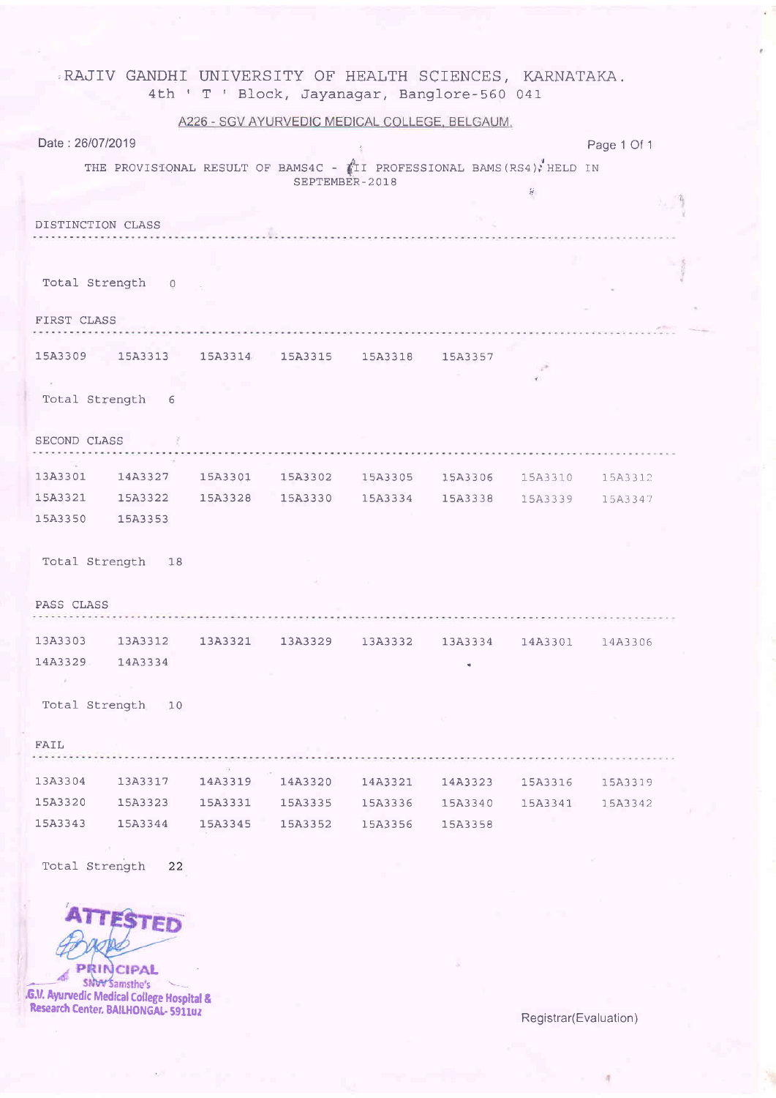A226 - SGV AYURVEDIC MEDICAL COLLEGE, BELGAUM.

| Date: 26/07/2019 |                                                                               |         |                 |                                 |                 |         | Page 1 Of 1     |  |
|------------------|-------------------------------------------------------------------------------|---------|-----------------|---------------------------------|-----------------|---------|-----------------|--|
|                  | THE PROVISIONAL RESULT OF BAMS4C - $\oint$ II PROFESSIONAL BAMS(RS4), HELD IN |         |                 | SEPTEMBER-2018                  |                 |         |                 |  |
|                  | DISTINCTION CLASS                                                             |         |                 |                                 |                 |         |                 |  |
|                  |                                                                               |         |                 |                                 |                 |         |                 |  |
|                  | Total Strength 0                                                              |         |                 |                                 |                 |         |                 |  |
| FIRST CLASS      |                                                                               |         |                 |                                 |                 |         |                 |  |
|                  | 15A3309 15A3313 15A3314 15A3315 15A3318 15A3357                               |         |                 |                                 |                 |         |                 |  |
|                  | Total Strength 6                                                              |         |                 |                                 |                 |         |                 |  |
|                  | SECOND CLASS                                                                  |         |                 |                                 |                 |         |                 |  |
|                  | 13A3301 14A3327 15A3301 15A3302 15A3305 15A3306                               |         |                 |                                 |                 |         | 15A3310 15A3312 |  |
|                  | 15A3321 15A3322 15A3328 15A3330 15A3334 15A3338 15A3339 15A3347               |         |                 |                                 |                 |         |                 |  |
|                  | 15A3350 15A3353                                                               |         |                 |                                 |                 |         |                 |  |
|                  |                                                                               |         |                 |                                 |                 |         |                 |  |
|                  | Total Strength 18                                                             |         |                 |                                 |                 |         |                 |  |
| PASS CLASS       |                                                                               |         |                 |                                 |                 |         |                 |  |
|                  | 13A3303 13A3312 13A3321 13A3329 13A3332 13A3334 14A3301 14A3306               |         |                 |                                 |                 |         |                 |  |
|                  | 14A3329 14A3334                                                               |         |                 |                                 |                 |         |                 |  |
|                  |                                                                               |         |                 |                                 |                 |         |                 |  |
|                  | Total Strength 10                                                             |         |                 |                                 |                 |         |                 |  |
| FAIL             |                                                                               |         |                 |                                 |                 |         |                 |  |
|                  | 13A3304 13A3317                                                               | 14A3319 | 14A3320         |                                 | 14A3321 14A3323 | 15A3316 | 15A3319         |  |
|                  | 15A3320 15A3323                                                               |         |                 | 15A3331 15A3335 15A3336 15A3340 |                 |         | 15A3341 15A3342 |  |
|                  | 15A3343 15A3344                                                               |         | 15A3345 15A3352 | 15A3356 15A3358                 |                 |         |                 |  |
| Total Strength   | 22                                                                            |         |                 |                                 |                 |         |                 |  |



SNVV Samsthe's .G.V. Ayurvedic Medical College Hospital &<br>Research Center, BAILHONGAL-5911uz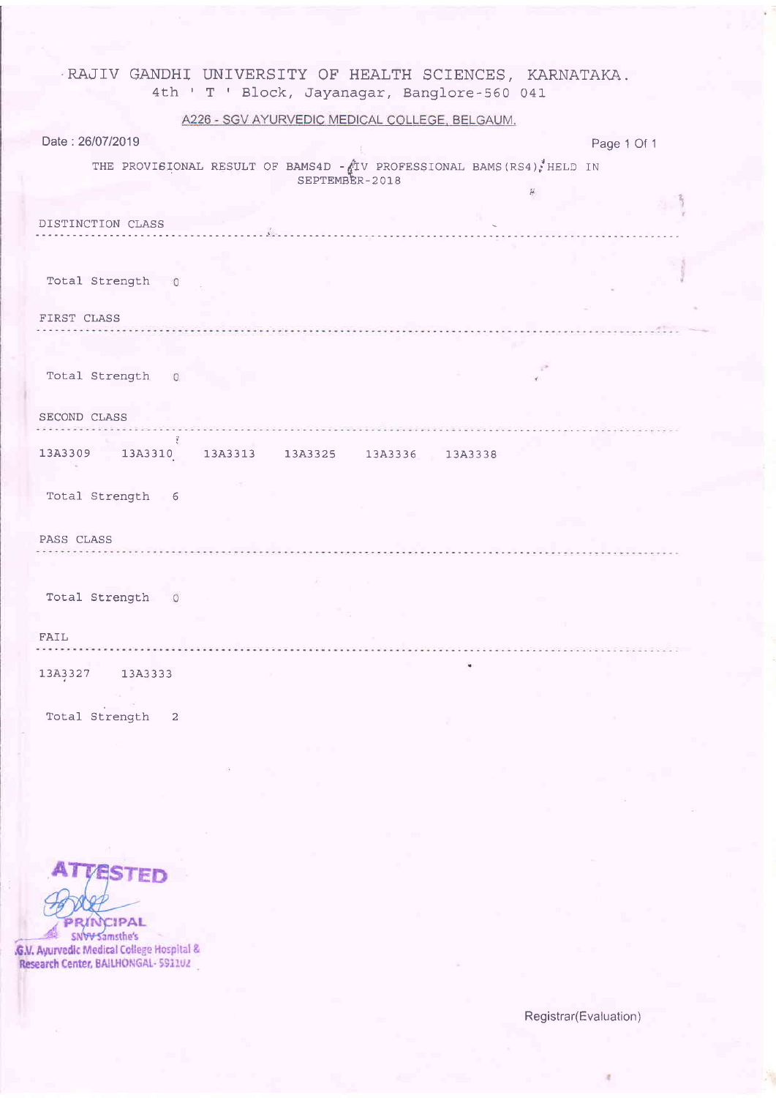A226 - SGV AYURVEDIC MEDICAL COLLEGE, BELGAUM. Date: 26/07/2019 Page 1 Of 1 THE PROVISIONAL RESULT OF BAMS4D -  $f$ IV PROFESSIONAL BAMS(RS4), HELD IN SEPTEMBER-2018 DISTINCTION CLASS . . . . . . . . . . . . . . . . . . . Total Strength 0 FIRST CLASS Total Strength 0 SECOND CLASS . . . . . . . . . . . . . . . . . .  $13A3309 13A3310 13A3313 13A3325 13A3336 13A3338$ Total Strength 6 PASS CLASS Total Strength 0 FAIL 13A3327 13A3333 Total Strength 2

**VESTED RINCIPAL** 

SNVV Samsthe's G.V. Ayurvedic Medical College Hospital & Research Center, BAILHONGAL-591102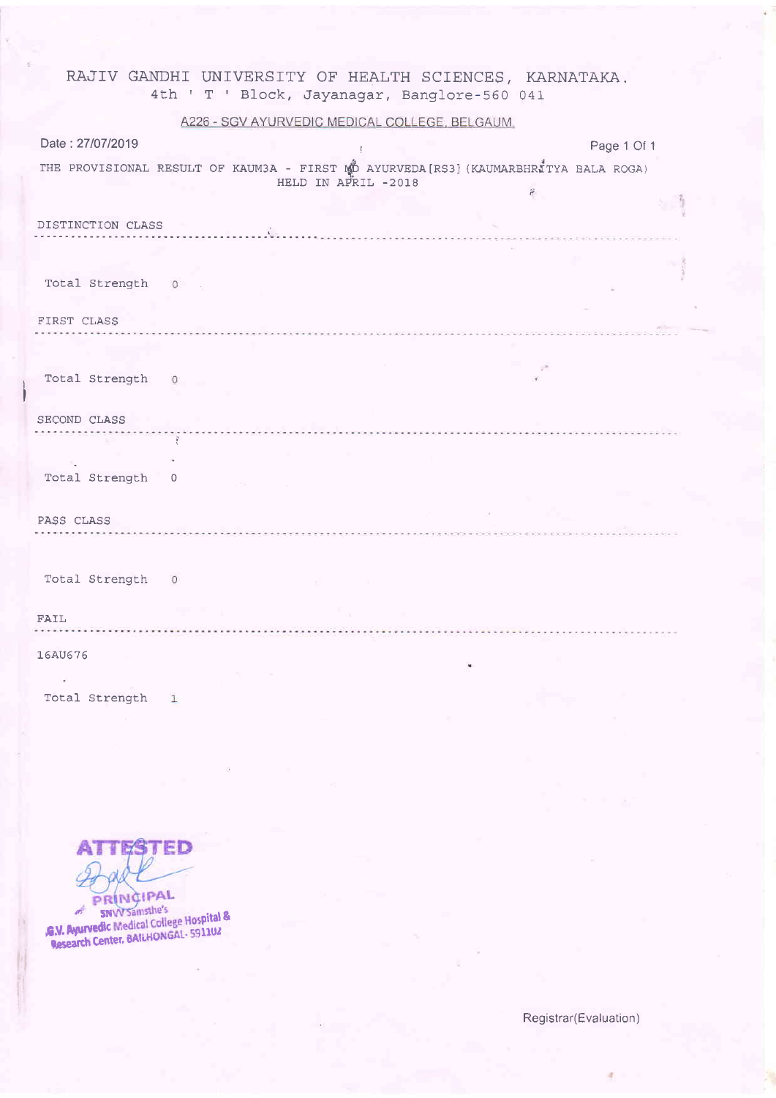A226 - SGV AYURVEDIC MEDICAL COLLEGE, BELGAUM.

| Date: 27/07/2019                                                                     |                          |                     |                | Page 1 Of 1 |
|--------------------------------------------------------------------------------------|--------------------------|---------------------|----------------|-------------|
| THE PROVISIONAL RESULT OF KAUM3A - FIRST MO AYURVEDA [RS3] (KAUMARBHRITYA BALA ROGA) |                          | HELD IN APRIL -2018 | $\tilde{R}^k$  |             |
|                                                                                      |                          |                     |                |             |
| DISTINCTION CLASS                                                                    |                          |                     |                |             |
|                                                                                      |                          |                     |                |             |
| Total Strength 0 .                                                                   |                          |                     |                |             |
| FIRST CLASS                                                                          |                          |                     |                |             |
|                                                                                      |                          |                     |                |             |
|                                                                                      |                          |                     |                |             |
| Total Strength 0                                                                     |                          |                     |                |             |
| SECOND CLASS                                                                         |                          |                     |                |             |
| $\mathfrak{F}$                                                                       |                          |                     |                |             |
|                                                                                      |                          |                     |                |             |
| Total Strength 0                                                                     |                          |                     |                |             |
| PASS CLASS                                                                           |                          |                     |                |             |
|                                                                                      |                          |                     |                |             |
| Total Strength 0                                                                     |                          |                     |                |             |
|                                                                                      |                          |                     |                |             |
| FAIL                                                                                 |                          |                     |                |             |
|                                                                                      |                          |                     |                |             |
| 16AU676                                                                              |                          |                     |                |             |
|                                                                                      |                          |                     |                |             |
| Total Strength 1                                                                     |                          |                     |                |             |
|                                                                                      |                          |                     |                |             |
|                                                                                      |                          |                     |                |             |
|                                                                                      | $\overline{\mathcal{L}}$ |                     |                |             |
|                                                                                      |                          |                     |                |             |
|                                                                                      |                          |                     | <b>Service</b> |             |
|                                                                                      |                          |                     |                |             |
| TED<br>AT                                                                            |                          |                     |                |             |
|                                                                                      |                          |                     |                |             |
| PRINCIPAL                                                                            |                          |                     |                |             |
| <b>SNVV Samsthe's</b>                                                                |                          |                     |                |             |
| G.V. Ayurvedic Medical College Hospital &<br>Research Center, BAILHONGAL-591102      |                          |                     |                |             |
|                                                                                      | $\mathbf{H}$             |                     |                |             |
|                                                                                      |                          |                     |                |             |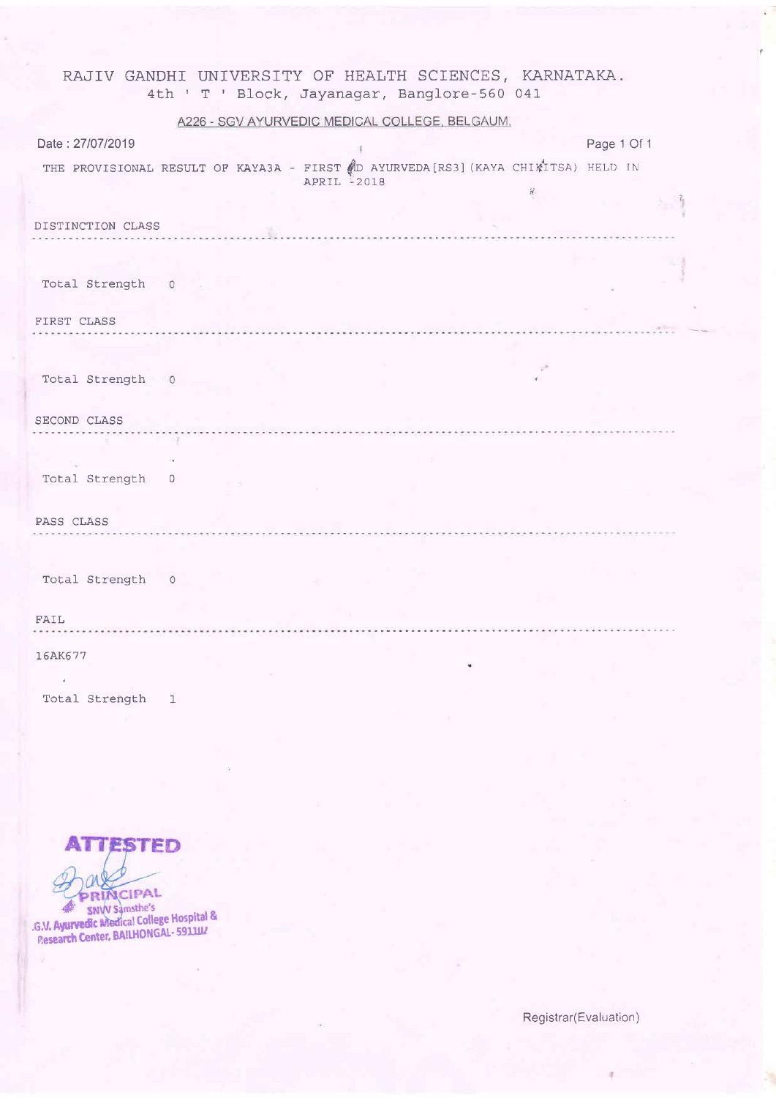A226 - SGV AYURVEDIC MEDICAL COLLEGE, BELGAUM.

| Date: 27/07/2019                                                                   |               |                         |  |   | Page 1 Of 1 |  |
|------------------------------------------------------------------------------------|---------------|-------------------------|--|---|-------------|--|
| THE PROVISIONAL RESULT OF KAYA3A - FIRST OD AYURVEDA [RS3] (KAYA CHIKITSA) HELD IN |               |                         |  |   |             |  |
|                                                                                    |               | APRIL <sup>1</sup> 2018 |  | 蒙 |             |  |
| DISTINCTION CLASS                                                                  | $\mathcal{X}$ |                         |  |   |             |  |
|                                                                                    |               |                         |  |   |             |  |
| Total Strength 0                                                                   |               |                         |  |   |             |  |
| FIRST CLASS                                                                        |               |                         |  |   |             |  |
|                                                                                    |               |                         |  |   |             |  |
| Total Strength 0                                                                   |               |                         |  |   |             |  |
| SECOND CLASS                                                                       |               |                         |  |   |             |  |
|                                                                                    |               |                         |  |   |             |  |
| Total Strength 0                                                                   |               |                         |  |   |             |  |
| PASS CLASS                                                                         |               |                         |  |   |             |  |
|                                                                                    |               |                         |  |   |             |  |
| Total Strength 0                                                                   |               |                         |  |   |             |  |
| FAIL                                                                               |               |                         |  |   |             |  |
|                                                                                    |               |                         |  |   |             |  |
| 16AK677                                                                            |               |                         |  |   |             |  |
| Total Strength 1                                                                   |               |                         |  |   |             |  |
|                                                                                    |               |                         |  |   |             |  |
|                                                                                    |               |                         |  |   |             |  |
|                                                                                    |               |                         |  |   |             |  |
| <b>ATTESTED</b>                                                                    |               |                         |  |   |             |  |
| CIPAL                                                                              |               |                         |  |   |             |  |

G.V. Ayurvedic Medical College Hospital &

Registrar(Evaluation)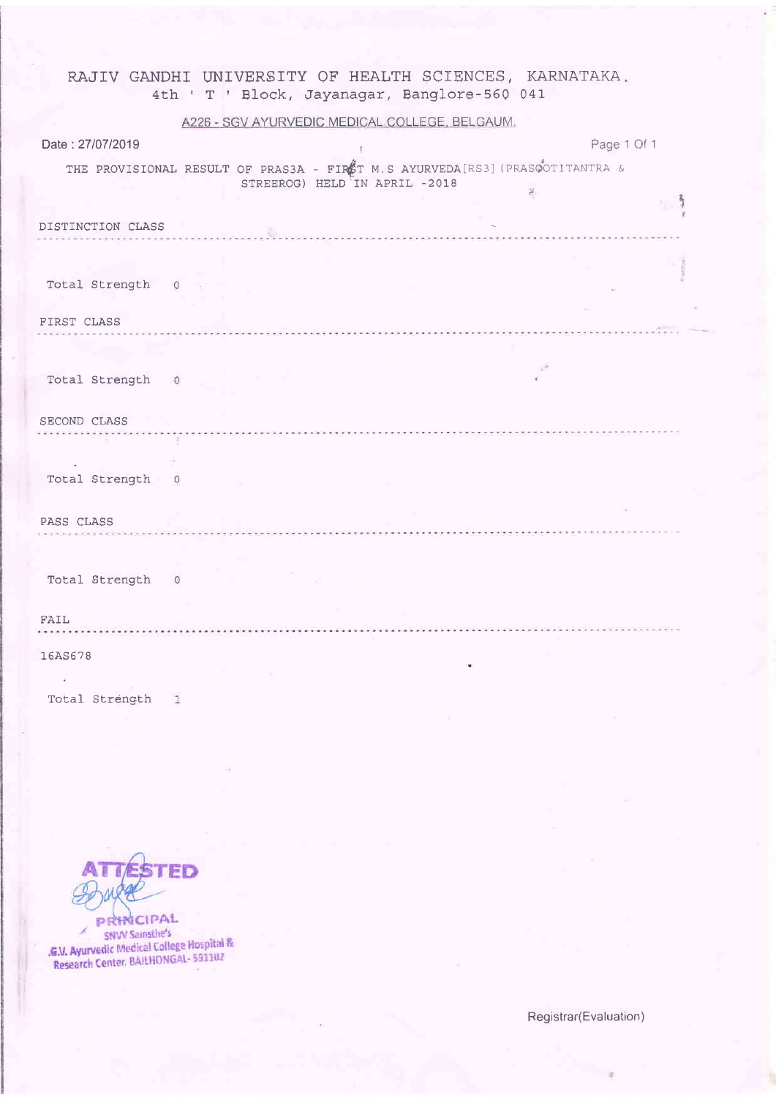A226 - SGV AYURVEDIC MEDICAL COLLEGE, BELGAUM. Date: 27/07/2019 Page 1 Of 1  $\overline{2}$ THE PROVISIONAL RESULT OF PRAS3A - FIRST M.S AYURVEDA[RS3] (PRASOUTITANTRA & STREEROG) HELD IN APRIL -2018  $5<sup>5</sup>$ DISTINCTION CLASS Total Strength 0 FIRST CLASS Total Strength 0 SECOND CLASS Total Strength 0 PASS CLASS Total Strength 0 **FAIL** 16AS678  $\epsilon$ Total Strength 1

**PRINCIPAL** 

SNVV Samsthe's G.V. Ayurvedic Medical College Hospital & Research Center, BAILHONGAL-591102